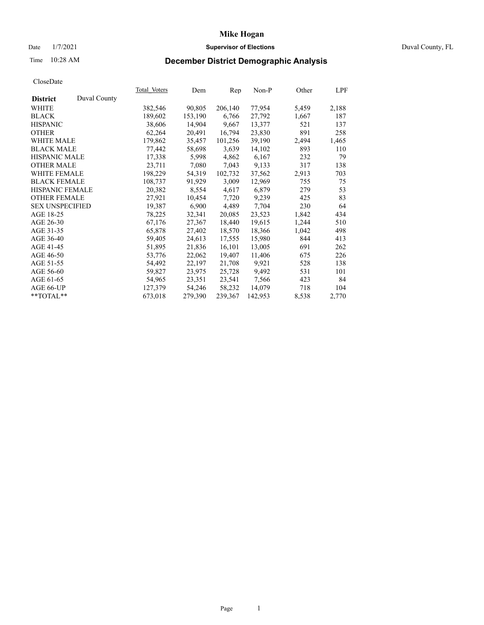## Date  $1/7/2021$  Duval County, FL

# Time 10:28 AM **December District Demographic Analysis**

|                        |              | Total Voters | Dem     | Rep     | Non-P   | Other | LPF   |
|------------------------|--------------|--------------|---------|---------|---------|-------|-------|
| <b>District</b>        | Duval County |              |         |         |         |       |       |
| WHITE                  |              | 382,546      | 90,805  | 206,140 | 77,954  | 5,459 | 2,188 |
| <b>BLACK</b>           |              | 189,602      | 153,190 | 6,766   | 27,792  | 1,667 | 187   |
| <b>HISPANIC</b>        |              | 38,606       | 14,904  | 9,667   | 13,377  | 521   | 137   |
| <b>OTHER</b>           |              | 62,264       | 20,491  | 16,794  | 23,830  | 891   | 258   |
| <b>WHITE MALE</b>      |              | 179,862      | 35,457  | 101,256 | 39,190  | 2,494 | 1,465 |
| <b>BLACK MALE</b>      |              | 77,442       | 58,698  | 3,639   | 14,102  | 893   | 110   |
| <b>HISPANIC MALE</b>   |              | 17,338       | 5,998   | 4,862   | 6,167   | 232   | 79    |
| <b>OTHER MALE</b>      |              | 23,711       | 7,080   | 7,043   | 9.133   | 317   | 138   |
| <b>WHITE FEMALE</b>    |              | 198,229      | 54,319  | 102,732 | 37,562  | 2,913 | 703   |
| <b>BLACK FEMALE</b>    |              | 108,737      | 91,929  | 3,009   | 12,969  | 755   | 75    |
| HISPANIC FEMALE        |              | 20,382       | 8,554   | 4,617   | 6,879   | 279   | 53    |
| <b>OTHER FEMALE</b>    |              | 27,921       | 10,454  | 7,720   | 9,239   | 425   | 83    |
| <b>SEX UNSPECIFIED</b> |              | 19,387       | 6,900   | 4,489   | 7,704   | 230   | 64    |
| AGE 18-25              |              | 78,225       | 32,341  | 20,085  | 23,523  | 1,842 | 434   |
| AGE 26-30              |              | 67,176       | 27,367  | 18,440  | 19,615  | 1,244 | 510   |
| AGE 31-35              |              | 65,878       | 27,402  | 18,570  | 18,366  | 1,042 | 498   |
| AGE 36-40              |              | 59,405       | 24,613  | 17,555  | 15,980  | 844   | 413   |
| AGE 41-45              |              | 51,895       | 21,836  | 16,101  | 13,005  | 691   | 262   |
| AGE 46-50              |              | 53,776       | 22,062  | 19,407  | 11,406  | 675   | 226   |
| AGE 51-55              |              | 54,492       | 22,197  | 21,708  | 9,921   | 528   | 138   |
| AGE 56-60              |              | 59,827       | 23,975  | 25,728  | 9,492   | 531   | 101   |
| AGE 61-65              |              | 54,965       | 23,351  | 23,541  | 7,566   | 423   | 84    |
| AGE 66-UP              |              | 127,379      | 54,246  | 58,232  | 14,079  | 718   | 104   |
| **TOTAL**              |              | 673,018      | 279,390 | 239,367 | 142,953 | 8,538 | 2,770 |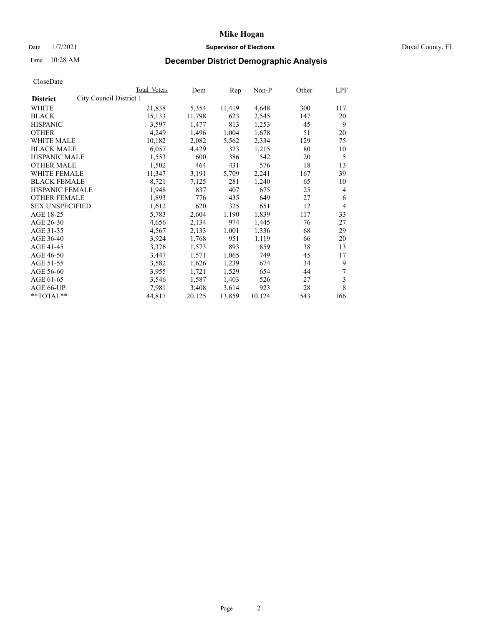## Date  $1/7/2021$  Duval County, FL

# Time 10:28 AM **December District Demographic Analysis**

|                                            | Total Voters | Dem    | Rep    | Non-P  | Other | LPF |
|--------------------------------------------|--------------|--------|--------|--------|-------|-----|
| City Council District 1<br><b>District</b> |              |        |        |        |       |     |
| WHITE                                      | 21,838       | 5,354  | 11,419 | 4,648  | 300   | 117 |
| <b>BLACK</b>                               | 15,133       | 11,798 | 623    | 2,545  | 147   | 20  |
| <b>HISPANIC</b>                            | 3,597        | 1,477  | 813    | 1,253  | 45    | 9   |
| <b>OTHER</b>                               | 4,249        | 1,496  | 1,004  | 1,678  | 51    | 20  |
| WHITE MALE                                 | 10,182       | 2,082  | 5,562  | 2,334  | 129   | 75  |
| <b>BLACK MALE</b>                          | 6,057        | 4,429  | 323    | 1,215  | 80    | 10  |
| <b>HISPANIC MALE</b>                       | 1,553        | 600    | 386    | 542    | 20    | 5   |
| <b>OTHER MALE</b>                          | 1,502        | 464    | 431    | 576    | 18    | 13  |
| WHITE FEMALE                               | 11,347       | 3,191  | 5,709  | 2,241  | 167   | 39  |
| <b>BLACK FEMALE</b>                        | 8,721        | 7,125  | 281    | 1,240  | 65    | 10  |
| HISPANIC FEMALE                            | 1,948        | 837    | 407    | 675    | 25    | 4   |
| <b>OTHER FEMALE</b>                        | 1,893        | 776    | 435    | 649    | 27    | 6   |
| <b>SEX UNSPECIFIED</b>                     | 1,612        | 620    | 325    | 651    | 12    | 4   |
| AGE 18-25                                  | 5,783        | 2,604  | 1,190  | 1,839  | 117   | 33  |
| AGE 26-30                                  | 4,656        | 2,134  | 974    | 1,445  | 76    | 27  |
| AGE 31-35                                  | 4,567        | 2,133  | 1,001  | 1,336  | 68    | 29  |
| AGE 36-40                                  | 3,924        | 1,768  | 951    | 1,119  | 66    | 20  |
| AGE 41-45                                  | 3,376        | 1,573  | 893    | 859    | 38    | 13  |
| AGE 46-50                                  | 3,447        | 1,571  | 1,065  | 749    | 45    | 17  |
| AGE 51-55                                  | 3,582        | 1,626  | 1,239  | 674    | 34    | 9   |
| AGE 56-60                                  | 3,955        | 1,721  | 1,529  | 654    | 44    | 7   |
| AGE 61-65                                  | 3,546        | 1,587  | 1,403  | 526    | 27    | 3   |
| AGE 66-UP                                  | 7,981        | 3,408  | 3,614  | 923    | 28    | 8   |
| **TOTAL**                                  | 44,817       | 20,125 | 13,859 | 10,124 | 543   | 166 |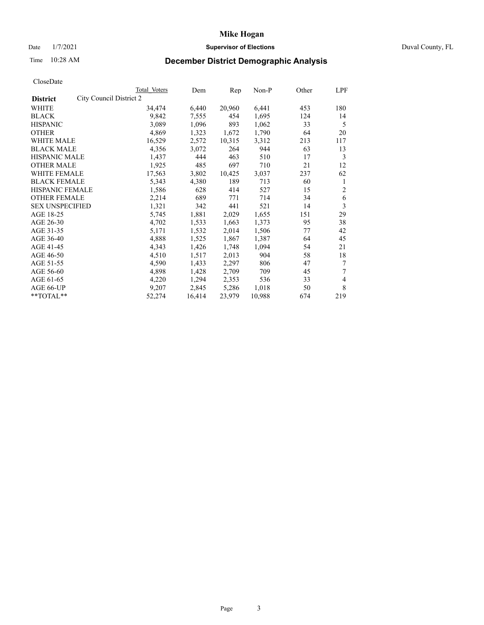## Date  $1/7/2021$  Duval County, FL

# Time 10:28 AM **December District Demographic Analysis**

|                                            | Total Voters | Dem    | Rep    | Non-P  | Other | LPF |
|--------------------------------------------|--------------|--------|--------|--------|-------|-----|
| City Council District 2<br><b>District</b> |              |        |        |        |       |     |
| WHITE                                      | 34,474       | 6,440  | 20,960 | 6,441  | 453   | 180 |
| <b>BLACK</b>                               | 9,842        | 7,555  | 454    | 1,695  | 124   | 14  |
| <b>HISPANIC</b>                            | 3,089        | 1,096  | 893    | 1,062  | 33    | 5   |
| <b>OTHER</b>                               | 4,869        | 1,323  | 1,672  | 1,790  | 64    | 20  |
| WHITE MALE                                 | 16,529       | 2,572  | 10,315 | 3,312  | 213   | 117 |
| <b>BLACK MALE</b>                          | 4,356        | 3,072  | 264    | 944    | 63    | 13  |
| <b>HISPANIC MALE</b>                       | 1,437        | 444    | 463    | 510    | 17    | 3   |
| <b>OTHER MALE</b>                          | 1,925        | 485    | 697    | 710    | 21    | 12  |
| WHITE FEMALE                               | 17,563       | 3,802  | 10,425 | 3,037  | 237   | 62  |
| <b>BLACK FEMALE</b>                        | 5,343        | 4,380  | 189    | 713    | 60    | 1   |
| HISPANIC FEMALE                            | 1,586        | 628    | 414    | 527    | 15    | 2   |
| <b>OTHER FEMALE</b>                        | 2,214        | 689    | 771    | 714    | 34    | 6   |
| <b>SEX UNSPECIFIED</b>                     | 1,321        | 342    | 441    | 521    | 14    | 3   |
| AGE 18-25                                  | 5,745        | 1,881  | 2,029  | 1,655  | 151   | 29  |
| AGE 26-30                                  | 4,702        | 1,533  | 1,663  | 1,373  | 95    | 38  |
| AGE 31-35                                  | 5,171        | 1,532  | 2,014  | 1,506  | 77    | 42  |
| AGE 36-40                                  | 4,888        | 1,525  | 1,867  | 1,387  | 64    | 45  |
| AGE 41-45                                  | 4,343        | 1,426  | 1,748  | 1,094  | 54    | 21  |
| AGE 46-50                                  | 4,510        | 1,517  | 2,013  | 904    | 58    | 18  |
| AGE 51-55                                  | 4,590        | 1,433  | 2,297  | 806    | 47    | 7   |
| AGE 56-60                                  | 4,898        | 1,428  | 2,709  | 709    | 45    | 7   |
| AGE 61-65                                  | 4,220        | 1,294  | 2,353  | 536    | 33    | 4   |
| AGE 66-UP                                  | 9,207        | 2,845  | 5,286  | 1,018  | 50    | 8   |
| **TOTAL**                                  | 52,274       | 16,414 | 23,979 | 10,988 | 674   | 219 |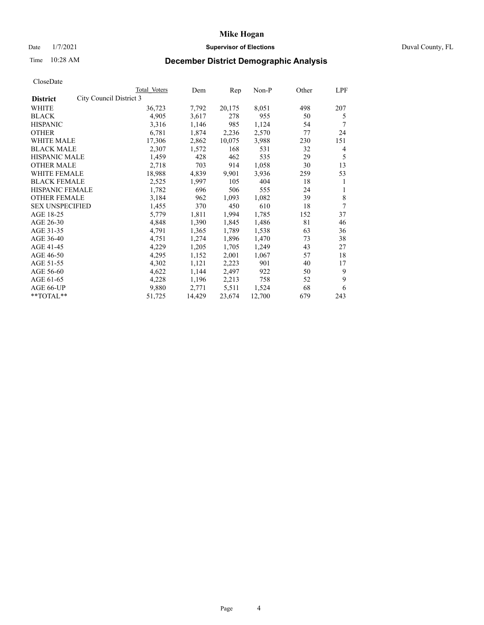## Date  $1/7/2021$  Duval County, FL

# Time 10:28 AM **December District Demographic Analysis**

| Total Voters | Dem                     | Rep    | Non-P  | Other | LPF |
|--------------|-------------------------|--------|--------|-------|-----|
|              |                         |        |        |       |     |
| 36,723       | 7,792                   | 20,175 | 8,051  | 498   | 207 |
| 4.905        | 3,617                   | 278    | 955    | 50    | 5   |
| 3,316        | 1,146                   | 985    | 1,124  | 54    | 7   |
| 6,781        | 1,874                   | 2,236  | 2,570  | 77    | 24  |
| 17,306       | 2,862                   | 10,075 | 3,988  | 230   | 151 |
| 2,307        | 1,572                   | 168    | 531    | 32    | 4   |
| 1,459        | 428                     | 462    | 535    | 29    | 5   |
| 2,718        | 703                     | 914    | 1,058  | 30    | 13  |
| 18,988       | 4,839                   | 9,901  | 3,936  | 259   | 53  |
| 2,525        | 1,997                   | 105    | 404    | 18    | 1   |
| 1,782        | 696                     | 506    | 555    | 24    | 1   |
| 3,184        | 962                     | 1,093  | 1,082  | 39    | 8   |
| 1,455        | 370                     | 450    | 610    | 18    | 7   |
| 5,779        | 1,811                   | 1,994  | 1,785  | 152   | 37  |
| 4,848        | 1,390                   | 1,845  | 1,486  | 81    | 46  |
| 4,791        | 1,365                   | 1,789  | 1,538  | 63    | 36  |
| 4,751        | 1,274                   | 1,896  | 1,470  | 73    | 38  |
| 4,229        | 1,205                   | 1,705  | 1,249  | 43    | 27  |
| 4,295        | 1,152                   | 2,001  | 1,067  | 57    | 18  |
| 4,302        | 1,121                   | 2,223  | 901    | 40    | 17  |
| 4,622        | 1,144                   | 2,497  | 922    | 50    | 9   |
| 4,228        | 1,196                   | 2,213  | 758    | 52    | 9   |
| 9,880        | 2,771                   | 5,511  | 1,524  | 68    | 6   |
| 51,725       | 14,429                  | 23,674 | 12,700 | 679   | 243 |
|              | City Council District 3 |        |        |       |     |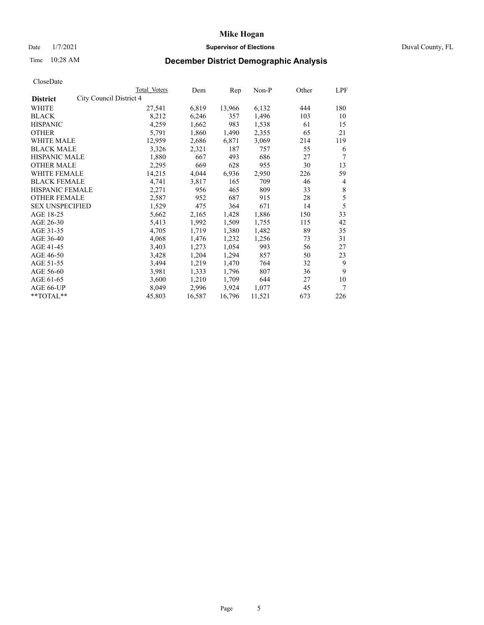## Date  $1/7/2021$  Duval County, FL

# Time 10:28 AM **December District Demographic Analysis**

|                                            | Total Voters | Dem    | Rep    | Non-P  | Other | LPF |
|--------------------------------------------|--------------|--------|--------|--------|-------|-----|
| City Council District 4<br><b>District</b> |              |        |        |        |       |     |
| WHITE                                      | 27,541       | 6,819  | 13,966 | 6,132  | 444   | 180 |
| <b>BLACK</b>                               | 8,212        | 6,246  | 357    | 1,496  | 103   | 10  |
| <b>HISPANIC</b>                            | 4,259        | 1,662  | 983    | 1,538  | 61    | 15  |
| <b>OTHER</b>                               | 5,791        | 1,860  | 1,490  | 2,355  | 65    | 21  |
| WHITE MALE                                 | 12,959       | 2,686  | 6,871  | 3,069  | 214   | 119 |
| <b>BLACK MALE</b>                          | 3,326        | 2,321  | 187    | 757    | 55    | 6   |
| <b>HISPANIC MALE</b>                       | 1,880        | 667    | 493    | 686    | 27    | 7   |
| <b>OTHER MALE</b>                          | 2,295        | 669    | 628    | 955    | 30    | 13  |
| WHITE FEMALE                               | 14,215       | 4,044  | 6,936  | 2,950  | 226   | 59  |
| <b>BLACK FEMALE</b>                        | 4,741        | 3,817  | 165    | 709    | 46    | 4   |
| HISPANIC FEMALE                            | 2,271        | 956    | 465    | 809    | 33    | 8   |
| <b>OTHER FEMALE</b>                        | 2,587        | 952    | 687    | 915    | 28    | 5   |
| <b>SEX UNSPECIFIED</b>                     | 1,529        | 475    | 364    | 671    | 14    | 5   |
| AGE 18-25                                  | 5,662        | 2,165  | 1,428  | 1,886  | 150   | 33  |
| AGE 26-30                                  | 5,413        | 1,992  | 1,509  | 1,755  | 115   | 42  |
| AGE 31-35                                  | 4,705        | 1,719  | 1,380  | 1,482  | 89    | 35  |
| AGE 36-40                                  | 4,068        | 1,476  | 1,232  | 1,256  | 73    | 31  |
| AGE 41-45                                  | 3,403        | 1,273  | 1,054  | 993    | 56    | 27  |
| AGE 46-50                                  | 3,428        | 1,204  | 1,294  | 857    | 50    | 23  |
| AGE 51-55                                  | 3,494        | 1,219  | 1,470  | 764    | 32    | 9   |
| AGE 56-60                                  | 3,981        | 1,333  | 1,796  | 807    | 36    | 9   |
| AGE 61-65                                  | 3,600        | 1,210  | 1,709  | 644    | 27    | 10  |
| AGE 66-UP                                  | 8,049        | 2,996  | 3,924  | 1,077  | 45    | 7   |
| **TOTAL**                                  | 45,803       | 16,587 | 16,796 | 11,521 | 673   | 226 |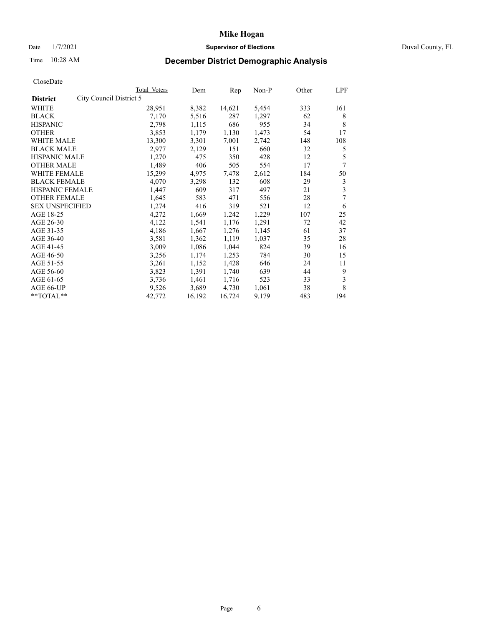## Date  $1/7/2021$  Duval County, FL

# Time 10:28 AM **December District Demographic Analysis**

| Total Voters | Dem                     | Rep    | Non-P | Other | LPF |
|--------------|-------------------------|--------|-------|-------|-----|
|              |                         |        |       |       |     |
| 28,951       | 8,382                   | 14,621 | 5,454 | 333   | 161 |
| 7,170        | 5,516                   | 287    | 1,297 | 62    | 8   |
| 2,798        | 1,115                   | 686    | 955   | 34    | 8   |
| 3,853        | 1,179                   | 1,130  | 1,473 | 54    | 17  |
| 13,300       | 3,301                   | 7,001  | 2,742 | 148   | 108 |
| 2,977        | 2,129                   | 151    | 660   | 32    | 5   |
| 1,270        | 475                     | 350    | 428   | 12    | 5   |
| 1,489        | 406                     | 505    | 554   | 17    | 7   |
| 15,299       | 4,975                   | 7,478  | 2,612 | 184   | 50  |
| 4,070        | 3,298                   | 132    | 608   | 29    | 3   |
| 1,447        | 609                     | 317    | 497   | 21    | 3   |
| 1,645        | 583                     | 471    | 556   | 28    | 7   |
| 1,274        | 416                     | 319    | 521   | 12    | 6   |
| 4,272        | 1,669                   | 1,242  | 1,229 | 107   | 25  |
| 4,122        | 1,541                   | 1,176  | 1,291 | 72    | 42  |
| 4,186        | 1,667                   | 1,276  | 1,145 | 61    | 37  |
| 3,581        | 1,362                   | 1,119  | 1,037 | 35    | 28  |
| 3,009        | 1,086                   | 1,044  | 824   | 39    | 16  |
| 3,256        | 1,174                   | 1,253  | 784   | 30    | 15  |
| 3,261        | 1,152                   | 1,428  | 646   | 24    | 11  |
| 3,823        | 1,391                   | 1,740  | 639   | 44    | 9   |
| 3,736        | 1,461                   | 1,716  | 523   | 33    | 3   |
| 9,526        | 3,689                   | 4,730  | 1,061 | 38    | 8   |
| 42,772       | 16,192                  | 16,724 | 9,179 | 483   | 194 |
|              | City Council District 5 |        |       |       |     |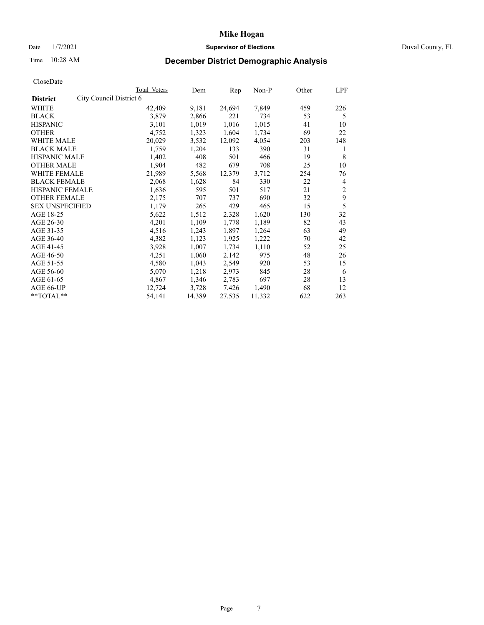## Date  $1/7/2021$  Duval County, FL

# Time 10:28 AM **December District Demographic Analysis**

| Total Voters | Dem                     | Rep    | Non-P  | Other | LPF            |
|--------------|-------------------------|--------|--------|-------|----------------|
|              |                         |        |        |       |                |
| 42,409       | 9,181                   | 24,694 | 7,849  | 459   | 226            |
| 3,879        | 2,866                   | 221    | 734    | 53    | 5              |
| 3,101        | 1,019                   | 1,016  | 1,015  | 41    | 10             |
| 4,752        | 1,323                   | 1,604  | 1,734  | 69    | 22             |
| 20,029       | 3,532                   | 12,092 | 4,054  | 203   | 148            |
| 1,759        | 1,204                   | 133    | 390    | 31    | 1              |
| 1,402        | 408                     | 501    | 466    | 19    | 8              |
| 1,904        | 482                     | 679    | 708    | 25    | 10             |
| 21,989       | 5,568                   | 12,379 | 3,712  | 254   | 76             |
| 2,068        | 1,628                   | 84     | 330    | 22    | 4              |
| 1,636        | 595                     | 501    | 517    | 21    | $\overline{2}$ |
| 2,175        | 707                     | 737    | 690    | 32    | 9              |
| 1,179        | 265                     | 429    | 465    | 15    | 5              |
| 5,622        | 1,512                   | 2,328  | 1,620  | 130   | 32             |
| 4,201        | 1,109                   | 1,778  | 1,189  | 82    | 43             |
| 4,516        | 1,243                   | 1,897  | 1,264  | 63    | 49             |
| 4,382        | 1,123                   | 1,925  | 1,222  | 70    | 42             |
| 3,928        | 1,007                   | 1,734  | 1,110  | 52    | 25             |
| 4,251        | 1,060                   | 2,142  | 975    | 48    | 26             |
| 4,580        | 1,043                   | 2,549  | 920    | 53    | 15             |
| 5,070        | 1,218                   | 2,973  | 845    | 28    | 6              |
| 4,867        | 1,346                   | 2,783  | 697    | 28    | 13             |
| 12,724       | 3,728                   | 7,426  | 1,490  | 68    | 12             |
| 54,141       | 14,389                  | 27,535 | 11,332 | 622   | 263            |
|              | City Council District 6 |        |        |       |                |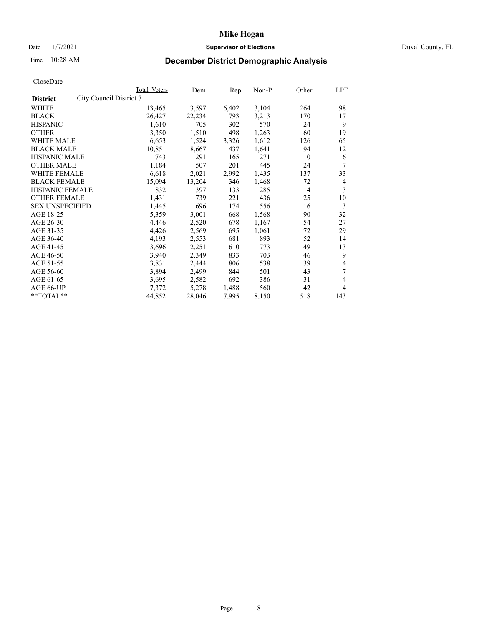## Date  $1/7/2021$  Duval County, FL

# Time 10:28 AM **December District Demographic Analysis**

|                                            | Total Voters | Dem    | Rep   | Non-P | Other | LPF |
|--------------------------------------------|--------------|--------|-------|-------|-------|-----|
| City Council District 7<br><b>District</b> |              |        |       |       |       |     |
| WHITE                                      | 13,465       | 3,597  | 6,402 | 3,104 | 264   | 98  |
| <b>BLACK</b>                               | 26,427       | 22,234 | 793   | 3,213 | 170   | 17  |
| <b>HISPANIC</b>                            | 1,610        | 705    | 302   | 570   | 24    | 9   |
| <b>OTHER</b>                               | 3,350        | 1,510  | 498   | 1,263 | 60    | 19  |
| WHITE MALE                                 | 6,653        | 1,524  | 3,326 | 1,612 | 126   | 65  |
| <b>BLACK MALE</b>                          | 10,851       | 8,667  | 437   | 1,641 | 94    | 12  |
| <b>HISPANIC MALE</b>                       | 743          | 291    | 165   | 271   | 10    | 6   |
| <b>OTHER MALE</b>                          | 1,184        | 507    | 201   | 445   | 24    | 7   |
| WHITE FEMALE                               | 6,618        | 2,021  | 2,992 | 1,435 | 137   | 33  |
| <b>BLACK FEMALE</b>                        | 15,094       | 13,204 | 346   | 1,468 | 72    | 4   |
| HISPANIC FEMALE                            | 832          | 397    | 133   | 285   | 14    | 3   |
| <b>OTHER FEMALE</b>                        | 1,431        | 739    | 221   | 436   | 25    | 10  |
| <b>SEX UNSPECIFIED</b>                     | 1,445        | 696    | 174   | 556   | 16    | 3   |
| AGE 18-25                                  | 5,359        | 3,001  | 668   | 1,568 | 90    | 32  |
| AGE 26-30                                  | 4,446        | 2,520  | 678   | 1,167 | 54    | 27  |
| AGE 31-35                                  | 4,426        | 2,569  | 695   | 1,061 | 72    | 29  |
| AGE 36-40                                  | 4,193        | 2,553  | 681   | 893   | 52    | 14  |
| AGE 41-45                                  | 3,696        | 2,251  | 610   | 773   | 49    | 13  |
| AGE 46-50                                  | 3,940        | 2,349  | 833   | 703   | 46    | 9   |
| AGE 51-55                                  | 3,831        | 2,444  | 806   | 538   | 39    | 4   |
| AGE 56-60                                  | 3,894        | 2,499  | 844   | 501   | 43    | 7   |
| AGE 61-65                                  | 3,695        | 2,582  | 692   | 386   | 31    | 4   |
| AGE 66-UP                                  | 7,372        | 5,278  | 1,488 | 560   | 42    | 4   |
| **TOTAL**                                  | 44,852       | 28,046 | 7,995 | 8,150 | 518   | 143 |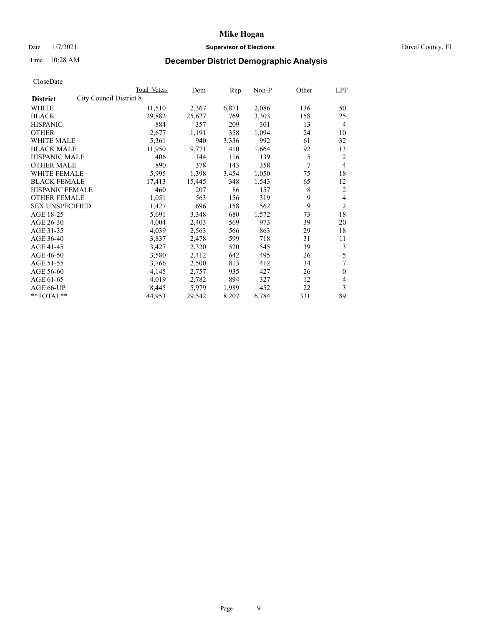## Date  $1/7/2021$  Duval County, FL

# Time 10:28 AM **December District Demographic Analysis**

|                                            | Total Voters | Dem    | Rep   | Non-P | Other          | LPF            |
|--------------------------------------------|--------------|--------|-------|-------|----------------|----------------|
| City Council District 8<br><b>District</b> |              |        |       |       |                |                |
| WHITE                                      | 11,510       | 2,367  | 6,871 | 2,086 | 136            | 50             |
| <b>BLACK</b>                               | 29,882       | 25,627 | 769   | 3,303 | 158            | 25             |
| <b>HISPANIC</b>                            | 884          | 357    | 209   | 301   | 13             | $\overline{4}$ |
| <b>OTHER</b>                               | 2,677        | 1,191  | 358   | 1,094 | 24             | 10             |
| WHITE MALE                                 | 5,361        | 940    | 3,336 | 992   | 61             | 32             |
| <b>BLACK MALE</b>                          | 11,950       | 9,771  | 410   | 1,664 | 92             | 13             |
| <b>HISPANIC MALE</b>                       | 406          | 144    | 116   | 139   | 5              | 2              |
| <b>OTHER MALE</b>                          | 890          | 378    | 143   | 358   | $\overline{7}$ | $\overline{4}$ |
| WHITE FEMALE                               | 5,995        | 1,398  | 3,454 | 1,050 | 75             | 18             |
| <b>BLACK FEMALE</b>                        | 17,413       | 15,445 | 348   | 1,543 | 65             | 12             |
| HISPANIC FEMALE                            | 460          | 207    | 86    | 157   | 8              | 2              |
| <b>OTHER FEMALE</b>                        | 1,051        | 563    | 156   | 319   | 9              | 4              |
| <b>SEX UNSPECIFIED</b>                     | 1,427        | 696    | 158   | 562   | 9              | $\overline{2}$ |
| AGE 18-25                                  | 5,691        | 3,348  | 680   | 1,572 | 73             | 18             |
| AGE 26-30                                  | 4,004        | 2,403  | 569   | 973   | 39             | 20             |
| AGE 31-35                                  | 4,039        | 2,563  | 566   | 863   | 29             | 18             |
| AGE 36-40                                  | 3,837        | 2,478  | 599   | 718   | 31             | 11             |
| AGE 41-45                                  | 3,427        | 2,320  | 520   | 545   | 39             | 3              |
| AGE 46-50                                  | 3,580        | 2,412  | 642   | 495   | 26             | 5              |
| AGE 51-55                                  | 3,766        | 2,500  | 813   | 412   | 34             | 7              |
| AGE 56-60                                  | 4,145        | 2,757  | 935   | 427   | 26             | $\theta$       |
| AGE 61-65                                  | 4,019        | 2,782  | 894   | 327   | 12             | 4              |
| AGE 66-UP                                  | 8,445        | 5,979  | 1,989 | 452   | 22             | 3              |
| **TOTAL**                                  | 44,953       | 29,542 | 8,207 | 6,784 | 331            | 89             |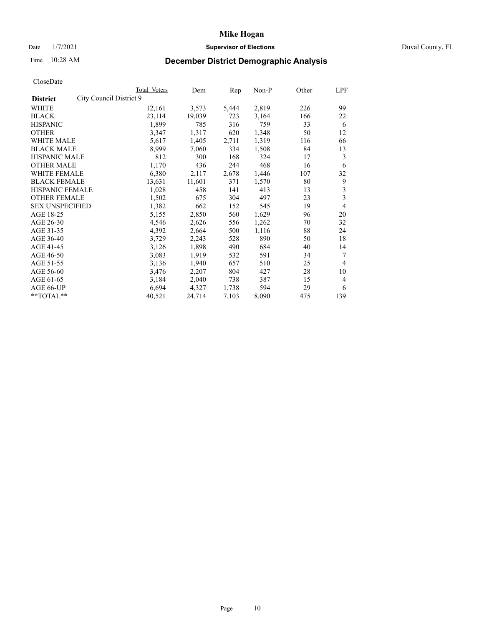## Date  $1/7/2021$  Duval County, FL

# Time 10:28 AM **December District Demographic Analysis**

|                                            | Total Voters | Dem    | Rep   | Non-P | Other | LPF            |
|--------------------------------------------|--------------|--------|-------|-------|-------|----------------|
| City Council District 9<br><b>District</b> |              |        |       |       |       |                |
| WHITE                                      | 12,161       | 3,573  | 5,444 | 2,819 | 226   | 99             |
| <b>BLACK</b>                               | 23,114       | 19,039 | 723   | 3,164 | 166   | 22             |
| <b>HISPANIC</b>                            | 1,899        | 785    | 316   | 759   | 33    | 6              |
| <b>OTHER</b>                               | 3,347        | 1,317  | 620   | 1,348 | 50    | 12             |
| WHITE MALE                                 | 5,617        | 1,405  | 2,711 | 1,319 | 116   | 66             |
| <b>BLACK MALE</b>                          | 8,999        | 7,060  | 334   | 1,508 | 84    | 13             |
| <b>HISPANIC MALE</b>                       | 812          | 300    | 168   | 324   | 17    | 3              |
| <b>OTHER MALE</b>                          | 1,170        | 436    | 244   | 468   | 16    | 6              |
| WHITE FEMALE                               | 6,380        | 2,117  | 2,678 | 1,446 | 107   | 32             |
| <b>BLACK FEMALE</b>                        | 13,631       | 11,601 | 371   | 1,570 | 80    | 9              |
| HISPANIC FEMALE                            | 1,028        | 458    | 141   | 413   | 13    | 3              |
| <b>OTHER FEMALE</b>                        | 1,502        | 675    | 304   | 497   | 23    | 3              |
| <b>SEX UNSPECIFIED</b>                     | 1,382        | 662    | 152   | 545   | 19    | 4              |
| AGE 18-25                                  | 5,155        | 2,850  | 560   | 1,629 | 96    | 20             |
| AGE 26-30                                  | 4,546        | 2,626  | 556   | 1,262 | 70    | 32             |
| AGE 31-35                                  | 4,392        | 2,664  | 500   | 1,116 | 88    | 24             |
| AGE 36-40                                  | 3,729        | 2,243  | 528   | 890   | 50    | 18             |
| AGE 41-45                                  | 3,126        | 1,898  | 490   | 684   | 40    | 14             |
| AGE 46-50                                  | 3,083        | 1,919  | 532   | 591   | 34    | 7              |
| AGE 51-55                                  | 3,136        | 1,940  | 657   | 510   | 25    | $\overline{4}$ |
| AGE 56-60                                  | 3,476        | 2,207  | 804   | 427   | 28    | 10             |
| AGE 61-65                                  | 3,184        | 2,040  | 738   | 387   | 15    | 4              |
| AGE 66-UP                                  | 6,694        | 4,327  | 1,738 | 594   | 29    | 6              |
| **TOTAL**                                  | 40,521       | 24,714 | 7,103 | 8,090 | 475   | 139            |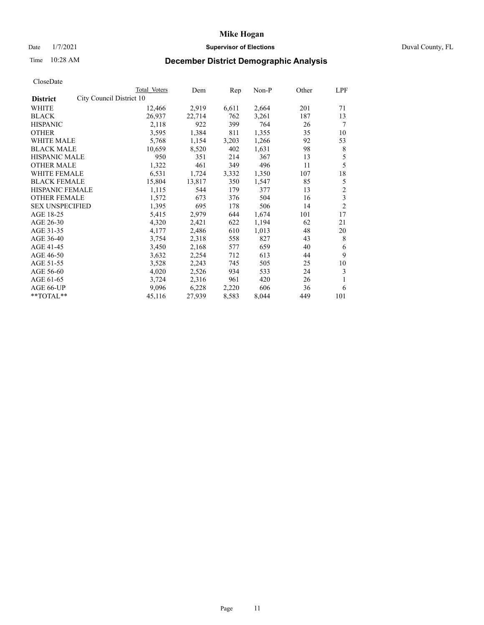## Date  $1/7/2021$  Duval County, FL

# Time 10:28 AM **December District Demographic Analysis**

|                                             | Total Voters | Dem    | Rep   | Non-P | Other | LPF                     |
|---------------------------------------------|--------------|--------|-------|-------|-------|-------------------------|
| City Council District 10<br><b>District</b> |              |        |       |       |       |                         |
| WHITE                                       | 12,466       | 2,919  | 6,611 | 2,664 | 201   | 71                      |
| <b>BLACK</b>                                | 26,937       | 22,714 | 762   | 3,261 | 187   | 13                      |
| <b>HISPANIC</b>                             | 2,118        | 922    | 399   | 764   | 26    | 7                       |
| <b>OTHER</b>                                | 3,595        | 1,384  | 811   | 1,355 | 35    | 10                      |
| WHITE MALE                                  | 5,768        | 1,154  | 3,203 | 1,266 | 92    | 53                      |
| <b>BLACK MALE</b>                           | 10,659       | 8,520  | 402   | 1,631 | 98    | 8                       |
| <b>HISPANIC MALE</b>                        | 950          | 351    | 214   | 367   | 13    | 5                       |
| <b>OTHER MALE</b>                           | 1,322        | 461    | 349   | 496   | 11    | 5                       |
| WHITE FEMALE                                | 6,531        | 1,724  | 3,332 | 1,350 | 107   | 18                      |
| <b>BLACK FEMALE</b>                         | 15,804       | 13,817 | 350   | 1,547 | 85    | 5                       |
| <b>HISPANIC FEMALE</b>                      | 1,115        | 544    | 179   | 377   | 13    | $\overline{\mathbf{c}}$ |
| <b>OTHER FEMALE</b>                         | 1,572        | 673    | 376   | 504   | 16    | $\overline{\mathbf{3}}$ |
| <b>SEX UNSPECIFIED</b>                      | 1,395        | 695    | 178   | 506   | 14    | $\overline{2}$          |
| AGE 18-25                                   | 5,415        | 2,979  | 644   | 1,674 | 101   | 17                      |
| AGE 26-30                                   | 4,320        | 2,421  | 622   | 1,194 | 62    | 21                      |
| AGE 31-35                                   | 4,177        | 2,486  | 610   | 1,013 | 48    | 20                      |
| AGE 36-40                                   | 3,754        | 2,318  | 558   | 827   | 43    | 8                       |
| AGE 41-45                                   | 3,450        | 2,168  | 577   | 659   | 40    | 6                       |
| AGE 46-50                                   | 3,632        | 2,254  | 712   | 613   | 44    | 9                       |
| AGE 51-55                                   | 3,528        | 2,243  | 745   | 505   | 25    | 10                      |
| AGE 56-60                                   | 4,020        | 2,526  | 934   | 533   | 24    | 3                       |
| AGE 61-65                                   | 3,724        | 2,316  | 961   | 420   | 26    | 1                       |
| AGE 66-UP                                   | 9,096        | 6,228  | 2,220 | 606   | 36    | 6                       |
| **TOTAL**                                   | 45,116       | 27,939 | 8,583 | 8,044 | 449   | 101                     |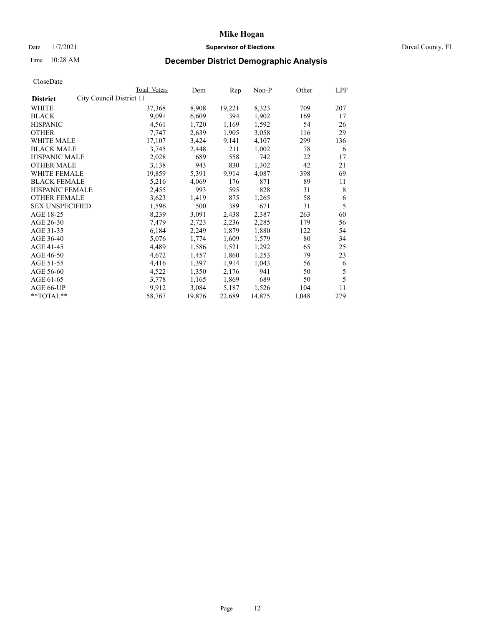## Date  $1/7/2021$  Duval County, FL

# Time 10:28 AM **December District Demographic Analysis**

|                                             | Total Voters | Dem    | Rep    | Non-P  | Other | LPF |
|---------------------------------------------|--------------|--------|--------|--------|-------|-----|
| City Council District 11<br><b>District</b> |              |        |        |        |       |     |
| WHITE                                       | 37,368       | 8,908  | 19,221 | 8,323  | 709   | 207 |
| <b>BLACK</b>                                | 9,091        | 6,609  | 394    | 1,902  | 169   | 17  |
| <b>HISPANIC</b>                             | 4,561        | 1,720  | 1,169  | 1,592  | 54    | 26  |
| <b>OTHER</b>                                | 7,747        | 2,639  | 1,905  | 3,058  | 116   | 29  |
| WHITE MALE                                  | 17,107       | 3,424  | 9,141  | 4,107  | 299   | 136 |
| <b>BLACK MALE</b>                           | 3,745        | 2,448  | 211    | 1,002  | 78    | 6   |
| <b>HISPANIC MALE</b>                        | 2,028        | 689    | 558    | 742    | 22    | 17  |
| <b>OTHER MALE</b>                           | 3,138        | 943    | 830    | 1,302  | 42    | 21  |
| WHITE FEMALE                                | 19,859       | 5,391  | 9,914  | 4,087  | 398   | 69  |
| <b>BLACK FEMALE</b>                         | 5,216        | 4,069  | 176    | 871    | 89    | 11  |
| HISPANIC FEMALE                             | 2,455        | 993    | 595    | 828    | 31    | 8   |
| <b>OTHER FEMALE</b>                         | 3,623        | 1,419  | 875    | 1,265  | 58    | 6   |
| <b>SEX UNSPECIFIED</b>                      | 1,596        | 500    | 389    | 671    | 31    | 5   |
| AGE 18-25                                   | 8,239        | 3,091  | 2,438  | 2,387  | 263   | 60  |
| AGE 26-30                                   | 7,479        | 2,723  | 2,236  | 2,285  | 179   | 56  |
| AGE 31-35                                   | 6,184        | 2,249  | 1,879  | 1,880  | 122   | 54  |
| AGE 36-40                                   | 5,076        | 1,774  | 1,609  | 1,579  | 80    | 34  |
| AGE 41-45                                   | 4,489        | 1,586  | 1,521  | 1,292  | 65    | 25  |
| AGE 46-50                                   | 4,672        | 1,457  | 1,860  | 1,253  | 79    | 23  |
| AGE 51-55                                   | 4,416        | 1,397  | 1,914  | 1,043  | 56    | 6   |
| AGE 56-60                                   | 4,522        | 1,350  | 2,176  | 941    | 50    | 5   |
| AGE 61-65                                   | 3,778        | 1,165  | 1,869  | 689    | 50    | 5   |
| AGE 66-UP                                   | 9,912        | 3,084  | 5,187  | 1,526  | 104   | 11  |
| **TOTAL**                                   | 58,767       | 19,876 | 22,689 | 14,875 | 1,048 | 279 |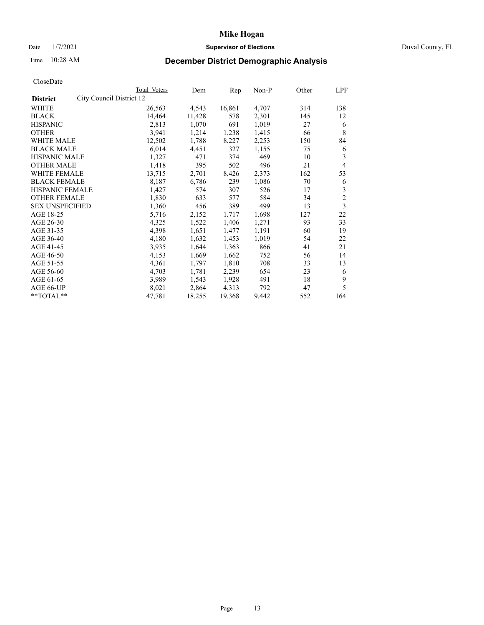## Date  $1/7/2021$  Duval County, FL

# Time 10:28 AM **December District Demographic Analysis**

|                                             | Total Voters | Dem    | Rep    | Non-P | Other | LPF            |
|---------------------------------------------|--------------|--------|--------|-------|-------|----------------|
| City Council District 12<br><b>District</b> |              |        |        |       |       |                |
| WHITE                                       | 26,563       | 4,543  | 16,861 | 4,707 | 314   | 138            |
| <b>BLACK</b>                                | 14,464       | 11,428 | 578    | 2,301 | 145   | 12             |
| <b>HISPANIC</b>                             | 2,813        | 1,070  | 691    | 1,019 | 27    | 6              |
| <b>OTHER</b>                                | 3,941        | 1,214  | 1,238  | 1,415 | 66    | 8              |
| WHITE MALE                                  | 12,502       | 1,788  | 8,227  | 2,253 | 150   | 84             |
| <b>BLACK MALE</b>                           | 6,014        | 4,451  | 327    | 1,155 | 75    | 6              |
| <b>HISPANIC MALE</b>                        | 1,327        | 471    | 374    | 469   | 10    | 3              |
| <b>OTHER MALE</b>                           | 1,418        | 395    | 502    | 496   | 21    | 4              |
| WHITE FEMALE                                | 13,715       | 2,701  | 8,426  | 2,373 | 162   | 53             |
| <b>BLACK FEMALE</b>                         | 8,187        | 6,786  | 239    | 1,086 | 70    | 6              |
| HISPANIC FEMALE                             | 1,427        | 574    | 307    | 526   | 17    | 3              |
| <b>OTHER FEMALE</b>                         | 1,830        | 633    | 577    | 584   | 34    | $\overline{c}$ |
| <b>SEX UNSPECIFIED</b>                      | 1,360        | 456    | 389    | 499   | 13    | 3              |
| AGE 18-25                                   | 5,716        | 2,152  | 1,717  | 1,698 | 127   | 22             |
| AGE 26-30                                   | 4,325        | 1,522  | 1,406  | 1,271 | 93    | 33             |
| AGE 31-35                                   | 4,398        | 1,651  | 1,477  | 1,191 | 60    | 19             |
| AGE 36-40                                   | 4,180        | 1,632  | 1,453  | 1,019 | 54    | 22             |
| AGE 41-45                                   | 3,935        | 1,644  | 1,363  | 866   | 41    | 21             |
| AGE 46-50                                   | 4,153        | 1,669  | 1,662  | 752   | 56    | 14             |
| AGE 51-55                                   | 4,361        | 1,797  | 1,810  | 708   | 33    | 13             |
| AGE 56-60                                   | 4,703        | 1,781  | 2,239  | 654   | 23    | 6              |
| AGE 61-65                                   | 3,989        | 1,543  | 1,928  | 491   | 18    | 9              |
| AGE 66-UP                                   | 8,021        | 2,864  | 4,313  | 792   | 47    | 5              |
| **TOTAL**                                   | 47,781       | 18,255 | 19,368 | 9,442 | 552   | 164            |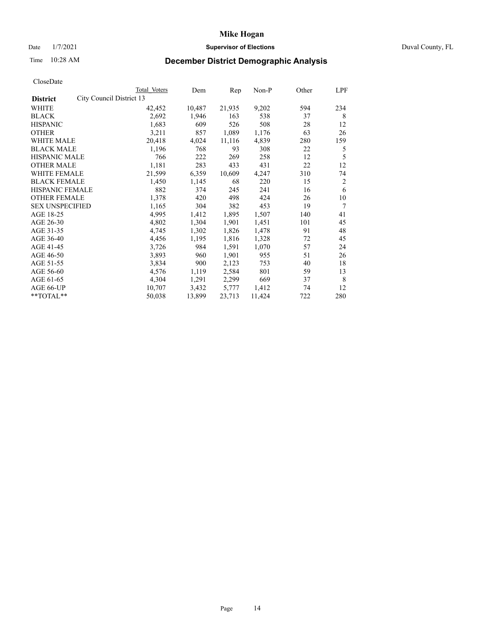## Date  $1/7/2021$  Duval County, FL

# Time 10:28 AM **December District Demographic Analysis**

|                        |                          | Total Voters | Dem    | Rep    | Non-P  | Other | LPF |
|------------------------|--------------------------|--------------|--------|--------|--------|-------|-----|
| <b>District</b>        | City Council District 13 |              |        |        |        |       |     |
| WHITE                  |                          | 42,452       | 10,487 | 21,935 | 9,202  | 594   | 234 |
| <b>BLACK</b>           |                          | 2,692        | 1,946  | 163    | 538    | 37    | 8   |
| <b>HISPANIC</b>        |                          | 1,683        | 609    | 526    | 508    | 28    | 12  |
| <b>OTHER</b>           |                          | 3,211        | 857    | 1,089  | 1,176  | 63    | 26  |
| WHITE MALE             |                          | 20,418       | 4,024  | 11,116 | 4,839  | 280   | 159 |
| <b>BLACK MALE</b>      |                          | 1,196        | 768    | 93     | 308    | 22    | 5   |
| <b>HISPANIC MALE</b>   |                          | 766          | 222    | 269    | 258    | 12    | 5   |
| <b>OTHER MALE</b>      |                          | 1,181        | 283    | 433    | 431    | 22    | 12  |
| WHITE FEMALE           |                          | 21,599       | 6,359  | 10,609 | 4,247  | 310   | 74  |
| <b>BLACK FEMALE</b>    |                          | 1,450        | 1,145  | 68     | 220    | 15    | 2   |
| HISPANIC FEMALE        |                          | 882          | 374    | 245    | 241    | 16    | 6   |
| <b>OTHER FEMALE</b>    |                          | 1,378        | 420    | 498    | 424    | 26    | 10  |
| <b>SEX UNSPECIFIED</b> |                          | 1,165        | 304    | 382    | 453    | 19    | 7   |
| AGE 18-25              |                          | 4,995        | 1,412  | 1,895  | 1,507  | 140   | 41  |
| AGE 26-30              |                          | 4,802        | 1,304  | 1,901  | 1,451  | 101   | 45  |
| AGE 31-35              |                          | 4,745        | 1,302  | 1,826  | 1,478  | 91    | 48  |
| AGE 36-40              |                          | 4,456        | 1,195  | 1,816  | 1,328  | 72    | 45  |
| AGE 41-45              |                          | 3,726        | 984    | 1,591  | 1,070  | 57    | 24  |
| AGE 46-50              |                          | 3,893        | 960    | 1,901  | 955    | 51    | 26  |
| AGE 51-55              |                          | 3,834        | 900    | 2,123  | 753    | 40    | 18  |
| AGE 56-60              |                          | 4,576        | 1,119  | 2,584  | 801    | 59    | 13  |
| AGE 61-65              |                          | 4,304        | 1,291  | 2,299  | 669    | 37    | 8   |
| AGE 66-UP              |                          | 10,707       | 3,432  | 5,777  | 1,412  | 74    | 12  |
| **TOTAL**              |                          | 50,038       | 13,899 | 23,713 | 11,424 | 722   | 280 |
|                        |                          |              |        |        |        |       |     |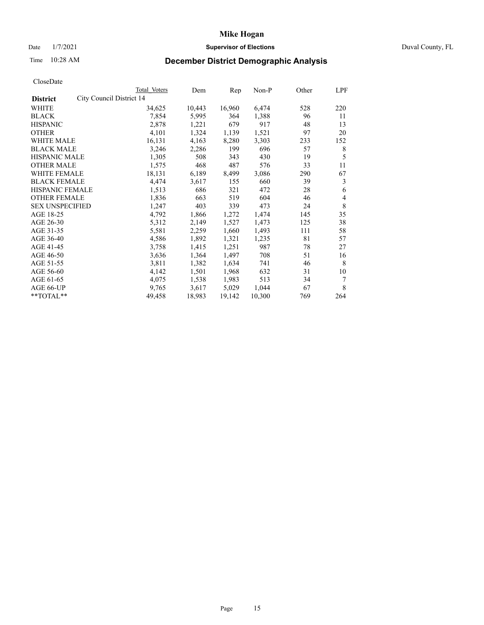## Date  $1/7/2021$  Duval County, FL

# Time 10:28 AM **December District Demographic Analysis**

|                                             | Total Voters | Dem    | Rep    | Non-P  | Other | LPF |
|---------------------------------------------|--------------|--------|--------|--------|-------|-----|
| City Council District 14<br><b>District</b> |              |        |        |        |       |     |
| WHITE                                       | 34,625       | 10,443 | 16,960 | 6,474  | 528   | 220 |
| <b>BLACK</b>                                | 7,854        | 5,995  | 364    | 1,388  | 96    | 11  |
| <b>HISPANIC</b>                             | 2,878        | 1,221  | 679    | 917    | 48    | 13  |
| <b>OTHER</b>                                | 4,101        | 1,324  | 1,139  | 1,521  | 97    | 20  |
| WHITE MALE                                  | 16,131       | 4,163  | 8,280  | 3,303  | 233   | 152 |
| <b>BLACK MALE</b>                           | 3,246        | 2,286  | 199    | 696    | 57    | 8   |
| <b>HISPANIC MALE</b>                        | 1,305        | 508    | 343    | 430    | 19    | 5   |
| <b>OTHER MALE</b>                           | 1,575        | 468    | 487    | 576    | 33    | 11  |
| WHITE FEMALE                                | 18,131       | 6,189  | 8,499  | 3,086  | 290   | 67  |
| <b>BLACK FEMALE</b>                         | 4,474        | 3,617  | 155    | 660    | 39    | 3   |
| HISPANIC FEMALE                             | 1,513        | 686    | 321    | 472    | 28    | 6   |
| <b>OTHER FEMALE</b>                         | 1,836        | 663    | 519    | 604    | 46    | 4   |
| <b>SEX UNSPECIFIED</b>                      | 1,247        | 403    | 339    | 473    | 24    | 8   |
| AGE 18-25                                   | 4,792        | 1,866  | 1,272  | 1,474  | 145   | 35  |
| AGE 26-30                                   | 5,312        | 2,149  | 1,527  | 1,473  | 125   | 38  |
| AGE 31-35                                   | 5,581        | 2,259  | 1,660  | 1,493  | 111   | 58  |
| AGE 36-40                                   | 4,586        | 1,892  | 1,321  | 1,235  | 81    | 57  |
| AGE 41-45                                   | 3,758        | 1,415  | 1,251  | 987    | 78    | 27  |
| AGE 46-50                                   | 3,636        | 1,364  | 1,497  | 708    | 51    | 16  |
| AGE 51-55                                   | 3,811        | 1,382  | 1,634  | 741    | 46    | 8   |
| AGE 56-60                                   | 4,142        | 1,501  | 1,968  | 632    | 31    | 10  |
| AGE 61-65                                   | 4,075        | 1,538  | 1,983  | 513    | 34    | 7   |
| AGE 66-UP                                   | 9,765        | 3,617  | 5,029  | 1,044  | 67    | 8   |
| **TOTAL**                                   | 49,458       | 18,983 | 19,142 | 10,300 | 769   | 264 |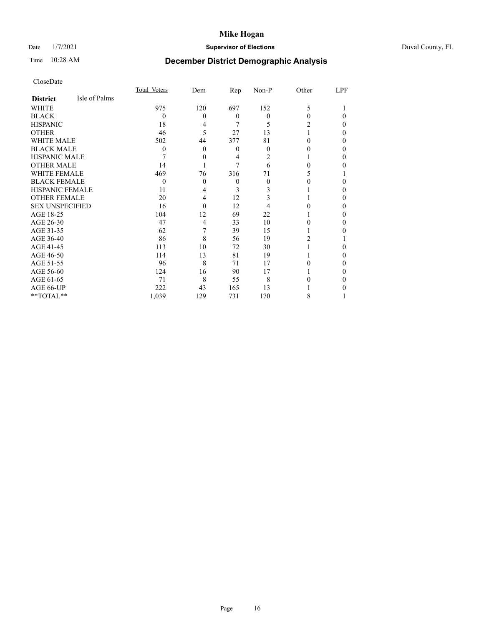# Date 1/7/2021 **Supervisor of Elections** Duval County, FL

# Time 10:28 AM **December District Demographic Analysis**

|                        |               | Total Voters | Dem      | Rep      | $Non-P$ | Other | LPF |
|------------------------|---------------|--------------|----------|----------|---------|-------|-----|
| <b>District</b>        | Isle of Palms |              |          |          |         |       |     |
| WHITE                  |               | 975          | 120      | 697      | 152     | 5     |     |
| <b>BLACK</b>           |               | $\theta$     | $\Omega$ | $\theta$ | 0       | 0     | 0   |
| <b>HISPANIC</b>        |               | 18           | 4        | 7        | 5       | 2     | 0   |
| <b>OTHER</b>           |               | 46           | 5        | 27       | 13      |       | 0   |
| WHITE MALE             |               | 502          | 44       | 377      | 81      | 0     | 0   |
| <b>BLACK MALE</b>      |               | $\theta$     | 0        | $\theta$ | 0       |       | 0   |
| <b>HISPANIC MALE</b>   |               |              | $\theta$ | 4        | 2       |       | 0   |
| <b>OTHER MALE</b>      |               | 14           |          | 7        | 6       | 0     | 0   |
| <b>WHITE FEMALE</b>    |               | 469          | 76       | 316      | 71      |       |     |
| <b>BLACK FEMALE</b>    |               | $\theta$     | $\theta$ | $\theta$ | 0       | 0     | 0   |
| <b>HISPANIC FEMALE</b> |               | 11           | 4        | 3        | 3       |       | 0   |
| <b>OTHER FEMALE</b>    |               | 20           | 4        | 12       | 3       |       | 0   |
| <b>SEX UNSPECIFIED</b> |               | 16           | $\Omega$ | 12       |         |       | 0   |
| AGE 18-25              |               | 104          | 12       | 69       | 22      |       | 0   |
| AGE 26-30              |               | 47           | 4        | 33       | 10      | 0     | 0   |
| AGE 31-35              |               | 62           | 7        | 39       | 15      |       | 0   |
| AGE 36-40              |               | 86           | 8        | 56       | 19      | 2     |     |
| AGE 41-45              |               | 113          | 10       | 72       | 30      |       | 0   |
| AGE 46-50              |               | 114          | 13       | 81       | 19      |       | 0   |
| AGE 51-55              |               | 96           | 8        | 71       | 17      | 0     | 0   |
| AGE 56-60              |               | 124          | 16       | 90       | 17      |       | 0   |
| AGE 61-65              |               | 71           | 8        | 55       | 8       |       | 0   |
| AGE 66-UP              |               | 222          | 43       | 165      | 13      |       |     |
| **TOTAL**              |               | 1,039        | 129      | 731      | 170     | 8     |     |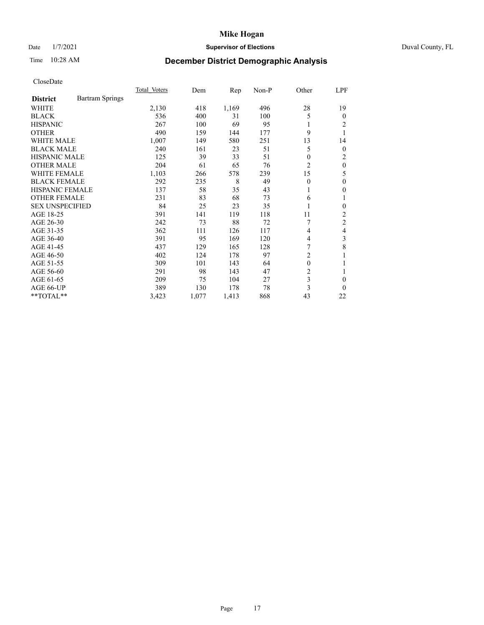# Date 1/7/2021 **Supervisor of Elections** Duval County, FL

# Time 10:28 AM **December District Demographic Analysis**

|                                           | Total Voters | Dem   | Rep   | $Non-P$ | Other          | LPF            |
|-------------------------------------------|--------------|-------|-------|---------|----------------|----------------|
| <b>Bartram Springs</b><br><b>District</b> |              |       |       |         |                |                |
| <b>WHITE</b>                              | 2,130        | 418   | 1,169 | 496     | 28             | 19             |
| <b>BLACK</b>                              | 536          | 400   | 31    | 100     | 5              | $\Omega$       |
| <b>HISPANIC</b>                           | 267          | 100   | 69    | 95      | 1              | 2              |
| <b>OTHER</b>                              | 490          | 159   | 144   | 177     | 9              | 1              |
| <b>WHITE MALE</b>                         | 1,007        | 149   | 580   | 251     | 13             | 14             |
| <b>BLACK MALE</b>                         | 240          | 161   | 23    | 51      | 5              | $\overline{0}$ |
| <b>HISPANIC MALE</b>                      | 125          | 39    | 33    | 51      | $\theta$       | 2              |
| <b>OTHER MALE</b>                         | 204          | 61    | 65    | 76      | 2              | $\theta$       |
| <b>WHITE FEMALE</b>                       | 1,103        | 266   | 578   | 239     | 15             | 5              |
| <b>BLACK FEMALE</b>                       | 292          | 235   | 8     | 49      | $\theta$       | 0              |
| HISPANIC FEMALE                           | 137          | 58    | 35    | 43      | 1              | 0              |
| <b>OTHER FEMALE</b>                       | 231          | 83    | 68    | 73      | 6              | 1              |
| <b>SEX UNSPECIFIED</b>                    | 84           | 25    | 23    | 35      | 1              | 0              |
| AGE 18-25                                 | 391          | 141   | 119   | 118     | 11             | 2              |
| AGE 26-30                                 | 242          | 73    | 88    | 72      |                | 2              |
| AGE 31-35                                 | 362          | 111   | 126   | 117     | 4              | 4              |
| AGE 36-40                                 | 391          | 95    | 169   | 120     | 4              | 3              |
| AGE 41-45                                 | 437          | 129   | 165   | 128     | 7              | 8              |
| AGE 46-50                                 | 402          | 124   | 178   | 97      | 2              |                |
| AGE 51-55                                 | 309          | 101   | 143   | 64      | $\mathbf{0}$   |                |
| AGE 56-60                                 | 291          | 98    | 143   | 47      | $\overline{2}$ | 1              |
| AGE 61-65                                 | 209          | 75    | 104   | 27      | 3              | 0              |
| AGE 66-UP                                 | 389          | 130   | 178   | 78      | 3              | 0              |
| **TOTAL**                                 | 3,423        | 1,077 | 1,413 | 868     | 43             | 22             |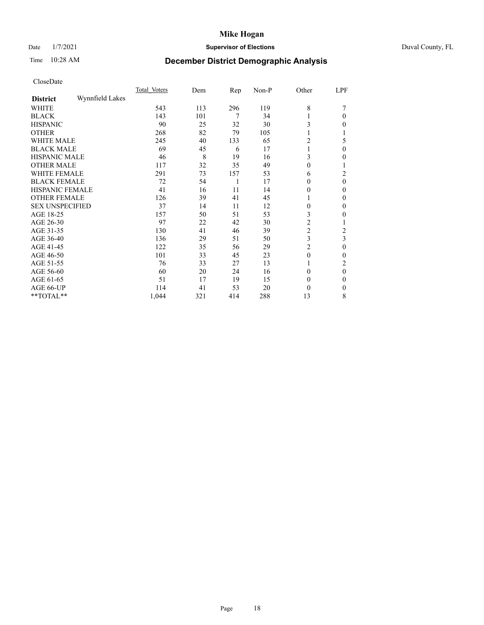# Date 1/7/2021 **Supervisor of Elections** Duval County, FL

# Time 10:28 AM **December District Demographic Analysis**

|                        |                 | Total Voters | Dem | Rep | Non-P | Other    | LPF          |
|------------------------|-----------------|--------------|-----|-----|-------|----------|--------------|
| <b>District</b>        | Wynnfield Lakes |              |     |     |       |          |              |
| WHITE                  |                 | 543          | 113 | 296 | 119   | 8        |              |
| <b>BLACK</b>           |                 | 143          | 101 | 7   | 34    |          | 0            |
| <b>HISPANIC</b>        |                 | 90           | 25  | 32  | 30    | 3        | 0            |
| <b>OTHER</b>           |                 | 268          | 82  | 79  | 105   |          |              |
| WHITE MALE             |                 | 245          | 40  | 133 | 65    | 2        | 5            |
| <b>BLACK MALE</b>      |                 | 69           | 45  | 6   | 17    |          | $\mathbf{0}$ |
| <b>HISPANIC MALE</b>   |                 | 46           | 8   | 19  | 16    | 3        | 0            |
| <b>OTHER MALE</b>      |                 | 117          | 32  | 35  | 49    | 0        | l            |
| <b>WHITE FEMALE</b>    |                 | 291          | 73  | 157 | 53    | 6        | 2            |
| <b>BLACK FEMALE</b>    |                 | 72           | 54  | 1   | 17    | 0        | $\theta$     |
| <b>HISPANIC FEMALE</b> |                 | 41           | 16  | 11  | 14    | 0        | 0            |
| <b>OTHER FEMALE</b>    |                 | 126          | 39  | 41  | 45    |          | 0            |
| <b>SEX UNSPECIFIED</b> |                 | 37           | 14  | 11  | 12    | $\theta$ | 0            |
| AGE 18-25              |                 | 157          | 50  | 51  | 53    | 3        | 0            |
| AGE 26-30              |                 | 97           | 22  | 42  | 30    | 2        |              |
| AGE 31-35              |                 | 130          | 41  | 46  | 39    | 2        | 2            |
| AGE 36-40              |                 | 136          | 29  | 51  | 50    | 3        | 3            |
| AGE 41-45              |                 | 122          | 35  | 56  | 29    | 2        | 0            |
| AGE 46-50              |                 | 101          | 33  | 45  | 23    | $\theta$ | 0            |
| AGE 51-55              |                 | 76           | 33  | 27  | 13    |          | 2            |
| AGE 56-60              |                 | 60           | 20  | 24  | 16    | 0        | $\theta$     |
| AGE 61-65              |                 | 51           | 17  | 19  | 15    | 0        | 0            |
| AGE 66-UP              |                 | 114          | 41  | 53  | 20    | 0        | $\mathbf{0}$ |
| **TOTAL**              |                 | 1,044        | 321 | 414 | 288   | 13       | 8            |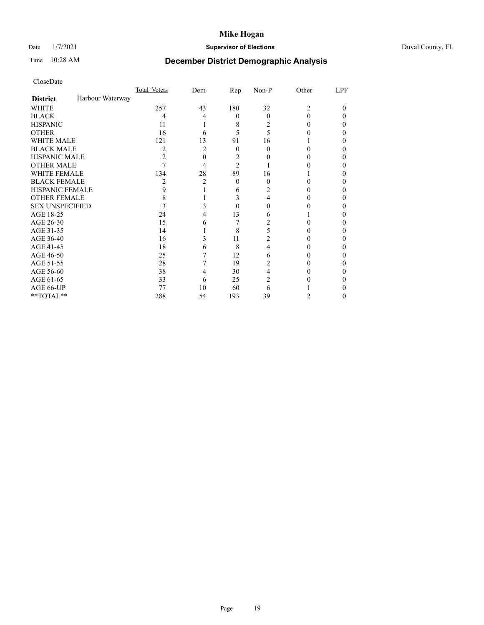# Date 1/7/2021 **Supervisor of Elections** Duval County, FL

# Time 10:28 AM **December District Demographic Analysis**

|                        |                  | Total Voters | Dem | Rep            | Non-P    | Other          | LPF |
|------------------------|------------------|--------------|-----|----------------|----------|----------------|-----|
| <b>District</b>        | Harbour Waterway |              |     |                |          |                |     |
| WHITE                  |                  | 257          | 43  | 180            | 32       | $\overline{c}$ | 0   |
| <b>BLACK</b>           |                  | 4            | 4   | $\theta$       | $\Omega$ | 0              | 0   |
| <b>HISPANIC</b>        |                  | 11           |     | 8              | 2        | 0              | 0   |
| <b>OTHER</b>           |                  | 16           | 6   | 5              | 5        |                |     |
| WHITE MALE             |                  | 121          | 13  | 91             | 16       |                |     |
| <b>BLACK MALE</b>      |                  | 2            | 2   | $\theta$       | 0        | 0              |     |
| <b>HISPANIC MALE</b>   |                  | 2            | 0   | 2              |          |                |     |
| <b>OTHER MALE</b>      |                  |              | 4   | $\overline{2}$ |          |                | 0   |
| WHITE FEMALE           |                  | 134          | 28  | 89             | 16       |                |     |
| <b>BLACK FEMALE</b>    |                  | 2            | 2   | $\theta$       | 0        | 0              | 0   |
| <b>HISPANIC FEMALE</b> |                  | 9            |     | 6              | 2        |                |     |
| <b>OTHER FEMALE</b>    |                  | 8            |     | 3              | 4        |                | 0   |
| <b>SEX UNSPECIFIED</b> |                  | 3            | 3   | $\Omega$       | 0        |                | 0   |
| AGE 18-25              |                  | 24           |     | 13             | 6        |                |     |
| AGE 26-30              |                  | 15           | 6   | 7              | 2        |                | 0   |
| AGE 31-35              |                  | 14           |     | 8              | 5        |                |     |
| AGE 36-40              |                  | 16           | 3   | 11             | 2        |                | 0   |
| AGE 41-45              |                  | 18           | 6   | 8              | 4        |                |     |
| AGE 46-50              |                  | 25           |     | 12             | 6        | 0              | 0   |
| AGE 51-55              |                  | 28           |     | 19             | 2        |                |     |
| AGE 56-60              |                  | 38           | 4   | 30             | 4        |                |     |
| AGE 61-65              |                  | 33           | 6   | 25             | 2        |                |     |
| AGE 66-UP              |                  | 77           | 10  | 60             | 6        |                |     |
| **TOTAL**              |                  | 288          | 54  | 193            | 39       | 2              | 0   |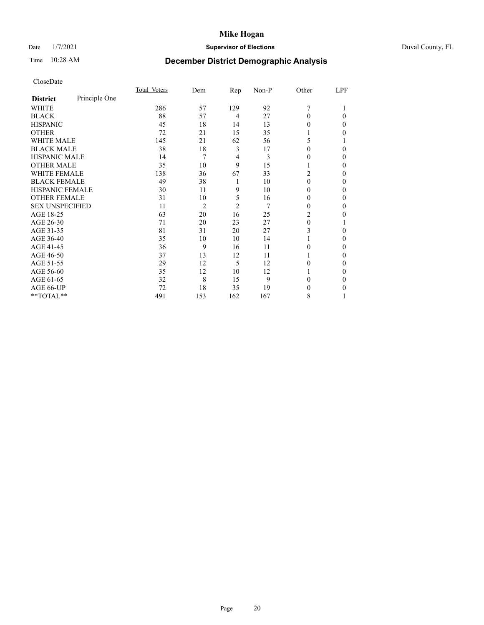# Date 1/7/2021 **Supervisor of Elections** Duval County, FL

# Time 10:28 AM **December District Demographic Analysis**

|                        |               | Total Voters | Dem            | Rep            | Non-P | Other | LPF    |
|------------------------|---------------|--------------|----------------|----------------|-------|-------|--------|
| <b>District</b>        | Principle One |              |                |                |       |       |        |
| WHITE                  |               | 286          | 57             | 129            | 92    | 7     |        |
| <b>BLACK</b>           |               | 88           | 57             | 4              | 27    | 0     | 0      |
| <b>HISPANIC</b>        |               | 45           | 18             | 14             | 13    | 0     | $_{0}$ |
| <b>OTHER</b>           |               | 72           | 21             | 15             | 35    |       | 0      |
| <b>WHITE MALE</b>      |               | 145          | 21             | 62             | 56    | 5     |        |
| <b>BLACK MALE</b>      |               | 38           | 18             | 3              | 17    | 0     | 0      |
| <b>HISPANIC MALE</b>   |               | 14           | 7              | 4              | 3     | 0     | 0      |
| <b>OTHER MALE</b>      |               | 35           | 10             | 9              | 15    |       | 0      |
| WHITE FEMALE           |               | 138          | 36             | 67             | 33    | 2     | 0      |
| <b>BLACK FEMALE</b>    |               | 49           | 38             | 1              | 10    | 0     | 0      |
| <b>HISPANIC FEMALE</b> |               | 30           | 11             | 9              | 10    | 0     | 0      |
| <b>OTHER FEMALE</b>    |               | 31           | 10             | 5              | 16    | 0     | 0      |
| <b>SEX UNSPECIFIED</b> |               | 11           | $\overline{2}$ | $\overline{2}$ | 7     | 0     | 0      |
| AGE 18-25              |               | 63           | 20             | 16             | 25    | 2     | 0      |
| AGE 26-30              |               | 71           | 20             | 23             | 27    | 0     |        |
| AGE 31-35              |               | 81           | 31             | 20             | 27    | 3     | 0      |
| AGE 36-40              |               | 35           | 10             | 10             | 14    |       | 0      |
| AGE 41-45              |               | 36           | 9              | 16             | 11    | 0     | 0      |
| AGE 46-50              |               | 37           | 13             | 12             | 11    |       | 0      |
| AGE 51-55              |               | 29           | 12             | 5              | 12    | 0     | 0      |
| AGE 56-60              |               | 35           | 12             | 10             | 12    |       | 0      |
| AGE 61-65              |               | 32           | 8              | 15             | 9     | 0     | 0      |
| AGE 66-UP              |               | 72           | 18             | 35             | 19    | 0     | 0      |
| **TOTAL**              |               | 491          | 153            | 162            | 167   | 8     |        |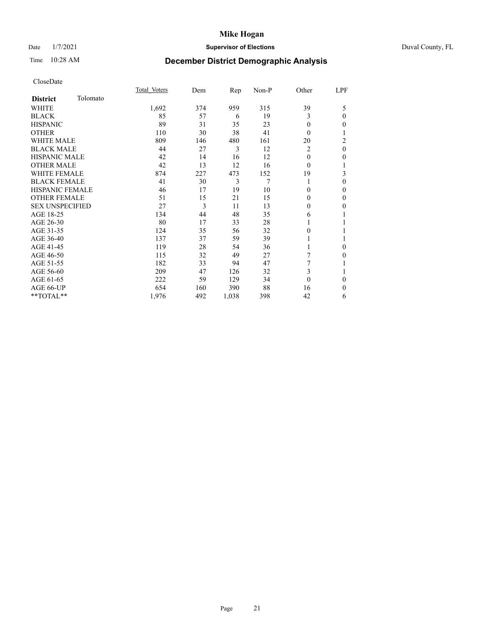## Date  $1/7/2021$  Duval County, FL

# Time 10:28 AM **December District Demographic Analysis**

|                        |          | Total Voters | Dem | Rep   | Non-P | Other    | LPF            |
|------------------------|----------|--------------|-----|-------|-------|----------|----------------|
| <b>District</b>        | Tolomato |              |     |       |       |          |                |
| WHITE                  |          | 1,692        | 374 | 959   | 315   | 39       | 5              |
| <b>BLACK</b>           |          | 85           | 57  | 6     | 19    | 3        | $\theta$       |
| <b>HISPANIC</b>        |          | 89           | 31  | 35    | 23    | 0        | $\mathbf{0}$   |
| <b>OTHER</b>           |          | 110          | 30  | 38    | 41    | 0        | 1              |
| <b>WHITE MALE</b>      |          | 809          | 146 | 480   | 161   | 20       | $\overline{2}$ |
| <b>BLACK MALE</b>      |          | 44           | 27  | 3     | 12    | 2        | $\mathbf{0}$   |
| <b>HISPANIC MALE</b>   |          | 42           | 14  | 16    | 12    | 0        | $\mathbf{0}$   |
| <b>OTHER MALE</b>      |          | 42           | 13  | 12    | 16    | 0        | 1              |
| <b>WHITE FEMALE</b>    |          | 874          | 227 | 473   | 152   | 19       | 3              |
| <b>BLACK FEMALE</b>    |          | 41           | 30  | 3     | 7     |          | $\mathbf{0}$   |
| <b>HISPANIC FEMALE</b> |          | 46           | 17  | 19    | 10    | 0        | $\mathbf{0}$   |
| <b>OTHER FEMALE</b>    |          | 51           | 15  | 21    | 15    | $\Omega$ | $\mathbf{0}$   |
| <b>SEX UNSPECIFIED</b> |          | 27           | 3   | 11    | 13    | $\theta$ | $\mathbf{0}$   |
| AGE 18-25              |          | 134          | 44  | 48    | 35    | 6        |                |
| AGE 26-30              |          | 80           | 17  | 33    | 28    |          | 1              |
| AGE 31-35              |          | 124          | 35  | 56    | 32    | 0        | 1              |
| AGE 36-40              |          | 137          | 37  | 59    | 39    |          | 1              |
| AGE 41-45              |          | 119          | 28  | 54    | 36    |          | $\theta$       |
| AGE 46-50              |          | 115          | 32  | 49    | 27    | 7        | $\mathbf{0}$   |
| AGE 51-55              |          | 182          | 33  | 94    | 47    | 7        | 1              |
| AGE 56-60              |          | 209          | 47  | 126   | 32    | 3        | 1              |
| AGE 61-65              |          | 222          | 59  | 129   | 34    | $\theta$ | $\theta$       |
| AGE 66-UP              |          | 654          | 160 | 390   | 88    | 16       | $\theta$       |
| **TOTAL**              |          | 1,976        | 492 | 1,038 | 398   | 42       | 6              |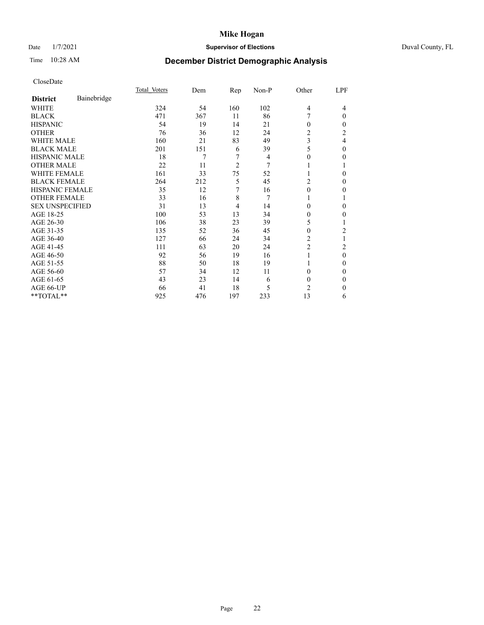# Date 1/7/2021 **Supervisor of Elections** Duval County, FL

# Time 10:28 AM **December District Demographic Analysis**

|                        |             | Total Voters | Dem | Rep            | Non-P | Other          | LPF            |
|------------------------|-------------|--------------|-----|----------------|-------|----------------|----------------|
| <b>District</b>        | Bainebridge |              |     |                |       |                |                |
| WHITE                  |             | 324          | 54  | 160            | 102   | $\overline{4}$ | 4              |
| <b>BLACK</b>           |             | 471          | 367 | 11             | 86    |                | $\theta$       |
| <b>HISPANIC</b>        |             | 54           | 19  | 14             | 21    | $\Omega$       | 0              |
| <b>OTHER</b>           |             | 76           | 36  | 12             | 24    | $\overline{2}$ | $\overline{2}$ |
| <b>WHITE MALE</b>      |             | 160          | 21  | 83             | 49    | 3              | 4              |
| <b>BLACK MALE</b>      |             | 201          | 151 | 6              | 39    | 5              | $\Omega$       |
| HISPANIC MALE          |             | 18           | 7   | 7              | 4     | 0              | 0              |
| <b>OTHER MALE</b>      |             | 22           | 11  | $\overline{c}$ | 7     |                |                |
| WHITE FEMALE           |             | 161          | 33  | 75             | 52    |                | 0              |
| <b>BLACK FEMALE</b>    |             | 264          | 212 | 5              | 45    | 2              | 0              |
| <b>HISPANIC FEMALE</b> |             | 35           | 12  | 7              | 16    | $\Omega$       | 0              |
| <b>OTHER FEMALE</b>    |             | 33           | 16  | 8              | 7     |                |                |
| <b>SEX UNSPECIFIED</b> |             | 31           | 13  | $\overline{4}$ | 14    | $\Omega$       | 0              |
| AGE 18-25              |             | 100          | 53  | 13             | 34    | 0              | 0              |
| AGE 26-30              |             | 106          | 38  | 23             | 39    | 5              |                |
| AGE 31-35              |             | 135          | 52  | 36             | 45    | 0              | 2              |
| AGE 36-40              |             | 127          | 66  | 24             | 34    | 2              |                |
| AGE 41-45              |             | 111          | 63  | 20             | 24    | $\overline{c}$ | 2              |
| AGE 46-50              |             | 92           | 56  | 19             | 16    | 1              | $\theta$       |
| AGE 51-55              |             | 88           | 50  | 18             | 19    |                | 0              |
| AGE 56-60              |             | 57           | 34  | 12             | 11    | $\Omega$       | 0              |
| AGE 61-65              |             | 43           | 23  | 14             | 6     | $\theta$       | 0              |
| AGE 66-UP              |             | 66           | 41  | 18             | 5     | $\overline{c}$ | 0              |
| **TOTAL**              |             | 925          | 476 | 197            | 233   | 13             | 6              |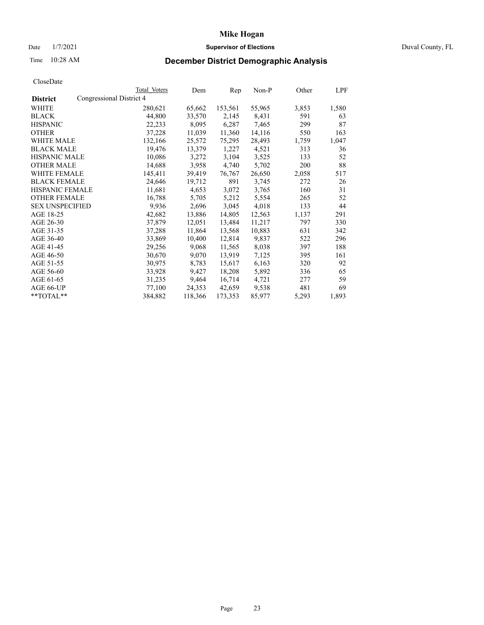# Date 1/7/2021 **Supervisor of Elections** Duval County, FL

# Time 10:28 AM **December District Demographic Analysis**

|                        | Total Voters             | Dem     | Rep     | Non-P  | Other | LPF   |
|------------------------|--------------------------|---------|---------|--------|-------|-------|
| <b>District</b>        | Congressional District 4 |         |         |        |       |       |
| WHITE                  | 280,621                  | 65,662  | 153,561 | 55,965 | 3,853 | 1,580 |
| <b>BLACK</b>           | 44,800                   | 33,570  | 2,145   | 8,431  | 591   | 63    |
| <b>HISPANIC</b>        | 22,233                   | 8,095   | 6,287   | 7,465  | 299   | 87    |
| <b>OTHER</b>           | 37,228                   | 11,039  | 11,360  | 14,116 | 550   | 163   |
| WHITE MALE             | 132,166                  | 25,572  | 75,295  | 28,493 | 1,759 | 1,047 |
| <b>BLACK MALE</b>      | 19,476                   | 13,379  | 1,227   | 4,521  | 313   | 36    |
| <b>HISPANIC MALE</b>   | 10,086                   | 3,272   | 3,104   | 3,525  | 133   | 52    |
| <b>OTHER MALE</b>      | 14,688                   | 3,958   | 4,740   | 5,702  | 200   | 88    |
| <b>WHITE FEMALE</b>    | 145,411                  | 39,419  | 76,767  | 26,650 | 2,058 | 517   |
| <b>BLACK FEMALE</b>    | 24,646                   | 19,712  | 891     | 3,745  | 272   | 26    |
| <b>HISPANIC FEMALE</b> | 11,681                   | 4,653   | 3,072   | 3,765  | 160   | 31    |
| <b>OTHER FEMALE</b>    | 16,788                   | 5,705   | 5,212   | 5,554  | 265   | 52    |
| <b>SEX UNSPECIFIED</b> | 9,936                    | 2,696   | 3,045   | 4,018  | 133   | 44    |
| AGE 18-25              | 42,682                   | 13,886  | 14,805  | 12,563 | 1,137 | 291   |
| AGE 26-30              | 37,879                   | 12,051  | 13,484  | 11,217 | 797   | 330   |
| AGE 31-35              | 37,288                   | 11,864  | 13,568  | 10,883 | 631   | 342   |
| AGE 36-40              | 33,869                   | 10,400  | 12,814  | 9,837  | 522   | 296   |
| AGE 41-45              | 29,256                   | 9,068   | 11,565  | 8,038  | 397   | 188   |
| AGE 46-50              | 30,670                   | 9,070   | 13,919  | 7,125  | 395   | 161   |
| AGE 51-55              | 30,975                   | 8,783   | 15,617  | 6,163  | 320   | 92    |
| AGE 56-60              | 33,928                   | 9,427   | 18,208  | 5,892  | 336   | 65    |
| AGE 61-65              | 31,235                   | 9,464   | 16,714  | 4,721  | 277   | 59    |
| AGE 66-UP              | 77,100                   | 24,353  | 42,659  | 9,538  | 481   | 69    |
| $*$ $TOTAL**$          | 384,882                  | 118,366 | 173,353 | 85,977 | 5,293 | 1,893 |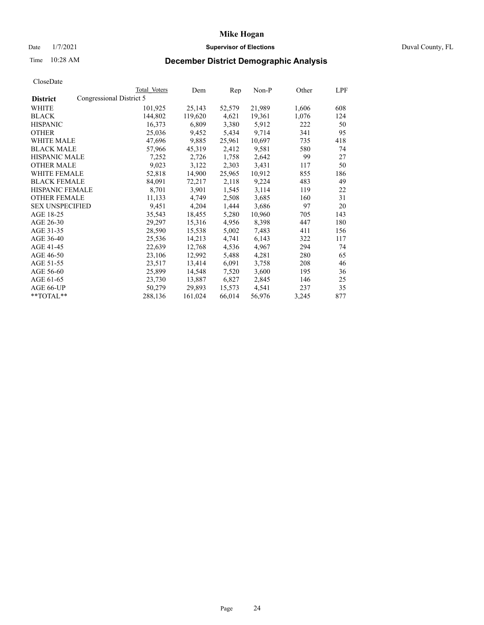## Date  $1/7/2021$  Duval County, FL

# Time 10:28 AM **December District Demographic Analysis**

|                                             | Total Voters | Dem     | Rep    | $Non-P$ | Other | LPF |
|---------------------------------------------|--------------|---------|--------|---------|-------|-----|
| Congressional District 5<br><b>District</b> |              |         |        |         |       |     |
| WHITE                                       | 101,925      | 25,143  | 52,579 | 21,989  | 1,606 | 608 |
| <b>BLACK</b>                                | 144,802      | 119,620 | 4,621  | 19,361  | 1,076 | 124 |
| <b>HISPANIC</b>                             | 16,373       | 6,809   | 3,380  | 5,912   | 222   | 50  |
| <b>OTHER</b>                                | 25,036       | 9,452   | 5,434  | 9,714   | 341   | 95  |
| WHITE MALE                                  | 47,696       | 9,885   | 25,961 | 10,697  | 735   | 418 |
| <b>BLACK MALE</b>                           | 57,966       | 45,319  | 2,412  | 9,581   | 580   | 74  |
| <b>HISPANIC MALE</b>                        | 7,252        | 2,726   | 1,758  | 2,642   | 99    | 27  |
| <b>OTHER MALE</b>                           | 9,023        | 3,122   | 2,303  | 3,431   | 117   | 50  |
| <b>WHITE FEMALE</b>                         | 52,818       | 14,900  | 25,965 | 10,912  | 855   | 186 |
| <b>BLACK FEMALE</b>                         | 84,091       | 72,217  | 2,118  | 9,224   | 483   | 49  |
| HISPANIC FEMALE                             | 8,701        | 3,901   | 1,545  | 3,114   | 119   | 22  |
| <b>OTHER FEMALE</b>                         | 11,133       | 4,749   | 2,508  | 3,685   | 160   | 31  |
| <b>SEX UNSPECIFIED</b>                      | 9,451        | 4,204   | 1,444  | 3,686   | 97    | 20  |
| AGE 18-25                                   | 35,543       | 18,455  | 5,280  | 10,960  | 705   | 143 |
| AGE 26-30                                   | 29,297       | 15,316  | 4,956  | 8,398   | 447   | 180 |
| AGE 31-35                                   | 28,590       | 15,538  | 5,002  | 7,483   | 411   | 156 |
| AGE 36-40                                   | 25,536       | 14,213  | 4,741  | 6,143   | 322   | 117 |
| AGE 41-45                                   | 22,639       | 12,768  | 4,536  | 4,967   | 294   | 74  |
| AGE 46-50                                   | 23,106       | 12,992  | 5,488  | 4,281   | 280   | 65  |
| AGE 51-55                                   | 23,517       | 13,414  | 6,091  | 3,758   | 208   | 46  |
| AGE 56-60                                   | 25,899       | 14,548  | 7,520  | 3,600   | 195   | 36  |
| AGE 61-65                                   | 23,730       | 13,887  | 6,827  | 2,845   | 146   | 25  |
| AGE 66-UP                                   | 50,279       | 29,893  | 15,573 | 4,541   | 237   | 35  |
| **TOTAL**                                   | 288,136      | 161,024 | 66,014 | 56,976  | 3,245 | 877 |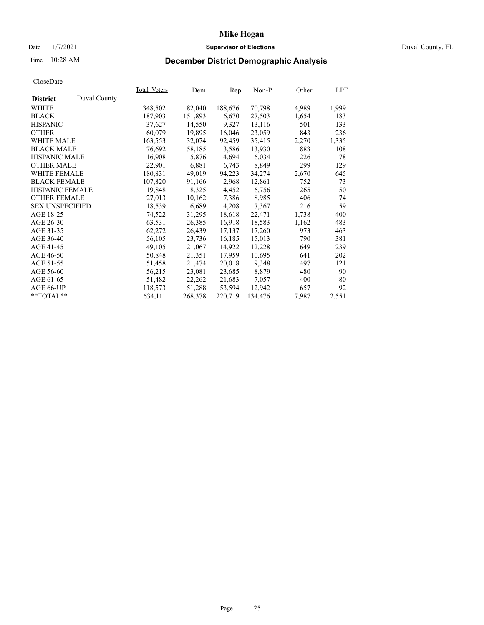# Date 1/7/2021 **Supervisor of Elections** Duval County, FL

# Time 10:28 AM **December District Demographic Analysis**

|                        |              | Total Voters | Dem     | Rep     | Non-P   | Other | LPF   |
|------------------------|--------------|--------------|---------|---------|---------|-------|-------|
| <b>District</b>        | Duval County |              |         |         |         |       |       |
| WHITE                  |              | 348,502      | 82,040  | 188,676 | 70,798  | 4,989 | 1,999 |
| <b>BLACK</b>           |              | 187,903      | 151,893 | 6,670   | 27,503  | 1,654 | 183   |
| <b>HISPANIC</b>        |              | 37,627       | 14,550  | 9,327   | 13,116  | 501   | 133   |
| <b>OTHER</b>           |              | 60,079       | 19,895  | 16,046  | 23,059  | 843   | 236   |
| WHITE MALE             |              | 163,553      | 32,074  | 92,459  | 35,415  | 2,270 | 1,335 |
| <b>BLACK MALE</b>      |              | 76,692       | 58,185  | 3,586   | 13,930  | 883   | 108   |
| <b>HISPANIC MALE</b>   |              | 16,908       | 5,876   | 4,694   | 6,034   | 226   | 78    |
| <b>OTHER MALE</b>      |              | 22,901       | 6,881   | 6,743   | 8,849   | 299   | 129   |
| <b>WHITE FEMALE</b>    |              | 180,831      | 49,019  | 94,223  | 34,274  | 2,670 | 645   |
| <b>BLACK FEMALE</b>    |              | 107,820      | 91,166  | 2,968   | 12,861  | 752   | 73    |
| <b>HISPANIC FEMALE</b> |              | 19,848       | 8,325   | 4,452   | 6,756   | 265   | 50    |
| <b>OTHER FEMALE</b>    |              | 27,013       | 10,162  | 7,386   | 8,985   | 406   | 74    |
| <b>SEX UNSPECIFIED</b> |              | 18,539       | 6,689   | 4,208   | 7,367   | 216   | 59    |
| AGE 18-25              |              | 74,522       | 31,295  | 18,618  | 22,471  | 1,738 | 400   |
| AGE 26-30              |              | 63,531       | 26,385  | 16,918  | 18,583  | 1,162 | 483   |
| AGE 31-35              |              | 62,272       | 26,439  | 17,137  | 17,260  | 973   | 463   |
| AGE 36-40              |              | 56,105       | 23,736  | 16,185  | 15,013  | 790   | 381   |
| AGE 41-45              |              | 49,105       | 21,067  | 14,922  | 12,228  | 649   | 239   |
| AGE 46-50              |              | 50,848       | 21,351  | 17,959  | 10,695  | 641   | 202   |
| AGE 51-55              |              | 51,458       | 21,474  | 20,018  | 9,348   | 497   | 121   |
| AGE 56-60              |              | 56,215       | 23,081  | 23,685  | 8,879   | 480   | 90    |
| AGE 61-65              |              | 51,482       | 22,262  | 21,683  | 7,057   | 400   | 80    |
| AGE 66-UP              |              | 118,573      | 51,288  | 53,594  | 12,942  | 657   | 92    |
| $*$ TOTAL $*$          |              | 634,111      | 268,378 | 220,719 | 134,476 | 7,987 | 2,551 |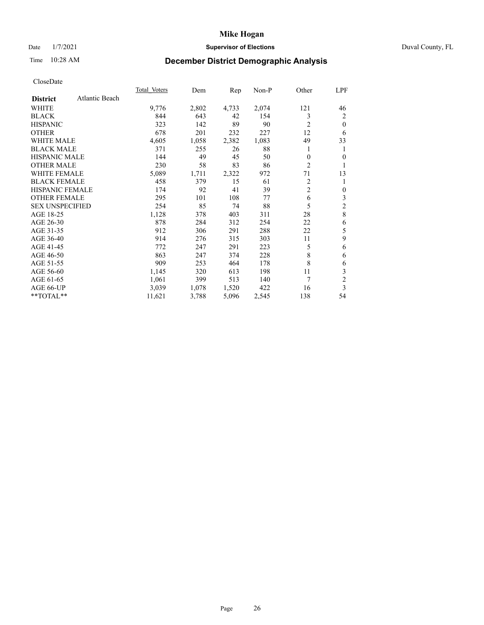## Date  $1/7/2021$  Duval County, FL

# Time 10:28 AM **December District Demographic Analysis**

|                        |                | <b>Total Voters</b> | Dem   | Rep   | Non-P | Other          | LPF                     |
|------------------------|----------------|---------------------|-------|-------|-------|----------------|-------------------------|
| <b>District</b>        | Atlantic Beach |                     |       |       |       |                |                         |
| WHITE                  |                | 9,776               | 2,802 | 4,733 | 2,074 | 121            | 46                      |
| <b>BLACK</b>           |                | 844                 | 643   | 42    | 154   | 3              | 2                       |
| <b>HISPANIC</b>        |                | 323                 | 142   | 89    | 90    | $\overline{2}$ | $\theta$                |
| <b>OTHER</b>           |                | 678                 | 201   | 232   | 227   | 12             | 6                       |
| WHITE MALE             |                | 4,605               | 1,058 | 2,382 | 1,083 | 49             | 33                      |
| <b>BLACK MALE</b>      |                | 371                 | 255   | 26    | 88    | 1              | 1                       |
| <b>HISPANIC MALE</b>   |                | 144                 | 49    | 45    | 50    | 0              | $\theta$                |
| <b>OTHER MALE</b>      |                | 230                 | 58    | 83    | 86    | 2              |                         |
| <b>WHITE FEMALE</b>    |                | 5,089               | 1,711 | 2,322 | 972   | 71             | 13                      |
| <b>BLACK FEMALE</b>    |                | 458                 | 379   | 15    | 61    | 2              |                         |
| <b>HISPANIC FEMALE</b> |                | 174                 | 92    | 41    | 39    | $\overline{2}$ | $\mathbf{0}$            |
| <b>OTHER FEMALE</b>    |                | 295                 | 101   | 108   | 77    | 6              | 3                       |
| <b>SEX UNSPECIFIED</b> |                | 254                 | 85    | 74    | 88    | 5              | $\overline{\mathbf{c}}$ |
| AGE 18-25              |                | 1,128               | 378   | 403   | 311   | 28             | 8                       |
| AGE 26-30              |                | 878                 | 284   | 312   | 254   | 22             | 6                       |
| AGE 31-35              |                | 912                 | 306   | 291   | 288   | 22             | 5                       |
| AGE 36-40              |                | 914                 | 276   | 315   | 303   | 11             | 9                       |
| AGE 41-45              |                | 772                 | 247   | 291   | 223   | 5              | 6                       |
| AGE 46-50              |                | 863                 | 247   | 374   | 228   | 8              | 6                       |
| AGE 51-55              |                | 909                 | 253   | 464   | 178   | 8              | 6                       |
| AGE 56-60              |                | 1,145               | 320   | 613   | 198   | 11             | 3                       |
| AGE 61-65              |                | 1,061               | 399   | 513   | 140   | 7              | $\overline{c}$          |
| AGE 66-UP              |                | 3,039               | 1,078 | 1,520 | 422   | 16             | 3                       |
| $*$ TOTAL $*$          |                | 11,621              | 3,788 | 5,096 | 2,545 | 138            | 54                      |
|                        |                |                     |       |       |       |                |                         |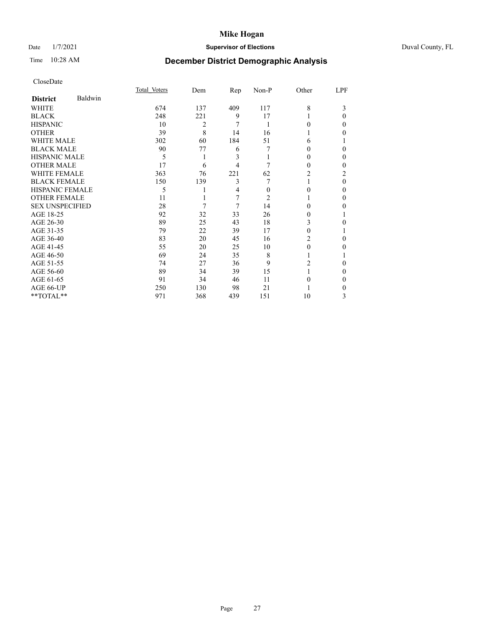# Date 1/7/2021 **Supervisor of Elections** Duval County, FL

# Time 10:28 AM **December District Demographic Analysis**

|                        |         | Total Voters | Dem | Rep | Non-P    | Other  | LPF      |
|------------------------|---------|--------------|-----|-----|----------|--------|----------|
| <b>District</b>        | Baldwin |              |     |     |          |        |          |
| WHITE                  |         | 674          | 137 | 409 | 117      | 8      | 3        |
| <b>BLACK</b>           |         | 248          | 221 | 9   | 17       |        | $\Omega$ |
| <b>HISPANIC</b>        |         | 10           | 2   | 7   | 1        | 0      | 0        |
| <b>OTHER</b>           |         | 39           | 8   | 14  | 16       |        | 0        |
| WHITE MALE             |         | 302          | 60  | 184 | 51       | 6      |          |
| <b>BLACK MALE</b>      |         | 90           | 77  | 6   | 7        | $_{0}$ | 0        |
| <b>HISPANIC MALE</b>   |         | 5            | 1   | 3   |          | 0      | 0        |
| <b>OTHER MALE</b>      |         | 17           | 6   | 4   | 7        | 0      | 0        |
| <b>WHITE FEMALE</b>    |         | 363          | 76  | 221 | 62       | 2      | 2        |
| <b>BLACK FEMALE</b>    |         | 150          | 139 | 3   |          |        | $\Omega$ |
| <b>HISPANIC FEMALE</b> |         | 5            |     | 4   | $\Omega$ | 0      | 0        |
| <b>OTHER FEMALE</b>    |         | 11           |     | 7   | 2        |        | 0        |
| <b>SEX UNSPECIFIED</b> |         | 28           | 7   | 7   | 14       | 0      | 0        |
| AGE 18-25              |         | 92           | 32  | 33  | 26       | $_{0}$ |          |
| AGE 26-30              |         | 89           | 25  | 43  | 18       | 3      | 0        |
| AGE 31-35              |         | 79           | 22  | 39  | 17       | 0      |          |
| AGE 36-40              |         | 83           | 20  | 45  | 16       | 2      | 0        |
| AGE 41-45              |         | 55           | 20  | 25  | 10       | 0      | 0        |
| AGE 46-50              |         | 69           | 24  | 35  | 8        |        |          |
| AGE 51-55              |         | 74           | 27  | 36  | 9        | 2      | 0        |
| AGE 56-60              |         | 89           | 34  | 39  | 15       |        | 0        |
| AGE 61-65              |         | 91           | 34  | 46  | 11       | 0      | 0        |
| AGE 66-UP              |         | 250          | 130 | 98  | 21       |        | 0        |
| **TOTAL**              |         | 971          | 368 | 439 | 151      | 10     | 3        |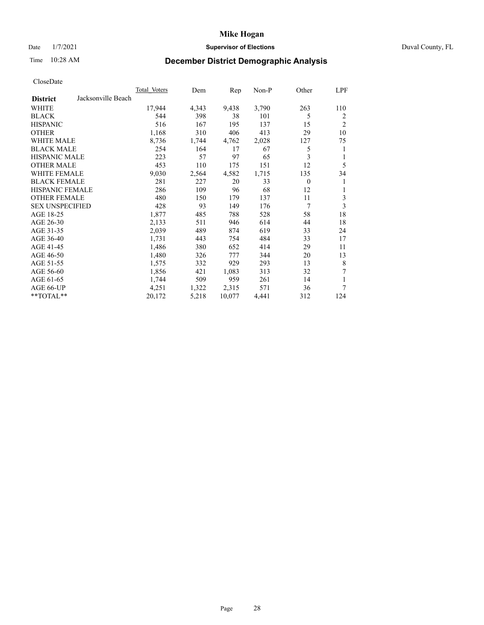## Date  $1/7/2021$  Duval County, FL

# Time 10:28 AM **December District Demographic Analysis**

|                                       | Total Voters | Dem   | Rep    | Non-P | Other    | LPF            |
|---------------------------------------|--------------|-------|--------|-------|----------|----------------|
| Jacksonville Beach<br><b>District</b> |              |       |        |       |          |                |
| WHITE                                 | 17,944       | 4,343 | 9,438  | 3,790 | 263      | 110            |
| <b>BLACK</b>                          | 544          | 398   | 38     | 101   | 5        | 2              |
| <b>HISPANIC</b>                       | 516          | 167   | 195    | 137   | 15       | $\overline{2}$ |
| <b>OTHER</b>                          | 1,168        | 310   | 406    | 413   | 29       | 10             |
| WHITE MALE                            | 8,736        | 1,744 | 4,762  | 2,028 | 127      | 75             |
| <b>BLACK MALE</b>                     | 254          | 164   | 17     | 67    | 5        | 1              |
| <b>HISPANIC MALE</b>                  | 223          | 57    | 97     | 65    | 3        | 1              |
| <b>OTHER MALE</b>                     | 453          | 110   | 175    | 151   | 12       | 5              |
| WHITE FEMALE                          | 9,030        | 2,564 | 4,582  | 1,715 | 135      | 34             |
| <b>BLACK FEMALE</b>                   | 281          | 227   | 20     | 33    | $\theta$ | 1              |
| HISPANIC FEMALE                       | 286          | 109   | 96     | 68    | 12       | 1              |
| <b>OTHER FEMALE</b>                   | 480          | 150   | 179    | 137   | 11       | 3              |
| <b>SEX UNSPECIFIED</b>                | 428          | 93    | 149    | 176   | 7        | 3              |
| AGE 18-25                             | 1,877        | 485   | 788    | 528   | 58       | 18             |
| AGE 26-30                             | 2,133        | 511   | 946    | 614   | 44       | 18             |
| AGE 31-35                             | 2,039        | 489   | 874    | 619   | 33       | 24             |
| AGE 36-40                             | 1,731        | 443   | 754    | 484   | 33       | 17             |
| AGE 41-45                             | 1,486        | 380   | 652    | 414   | 29       | 11             |
| AGE 46-50                             | 1,480        | 326   | 777    | 344   | 20       | 13             |
| AGE 51-55                             | 1,575        | 332   | 929    | 293   | 13       | 8              |
| AGE 56-60                             | 1,856        | 421   | 1,083  | 313   | 32       | 7              |
| AGE 61-65                             | 1,744        | 509   | 959    | 261   | 14       | 1              |
| AGE 66-UP                             | 4,251        | 1,322 | 2,315  | 571   | 36       | 7              |
| **TOTAL**                             | 20,172       | 5,218 | 10,077 | 4,441 | 312      | 124            |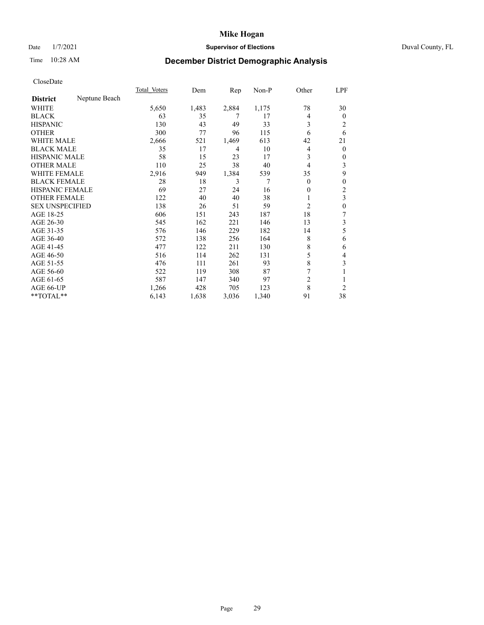# Date 1/7/2021 **Supervisor of Elections** Duval County, FL

# Time 10:28 AM **December District Demographic Analysis**

|                        |               | Total Voters | Dem   | $\mathbf{Rep}$ | Non-P | Other          | LPF            |
|------------------------|---------------|--------------|-------|----------------|-------|----------------|----------------|
| <b>District</b>        | Neptune Beach |              |       |                |       |                |                |
| WHITE                  |               | 5,650        | 1,483 | 2,884          | 1,175 | 78             | 30             |
| <b>BLACK</b>           |               | 63           | 35    | 7              | 17    | 4              | 0              |
| <b>HISPANIC</b>        |               | 130          | 43    | 49             | 33    | 3              | 2              |
| <b>OTHER</b>           |               | 300          | 77    | 96             | 115   | 6              | 6              |
| <b>WHITE MALE</b>      |               | 2,666        | 521   | 1,469          | 613   | 42             | 21             |
| <b>BLACK MALE</b>      |               | 35           | 17    | 4              | 10    | 4              | $\overline{0}$ |
| <b>HISPANIC MALE</b>   |               | 58           | 15    | 23             | 17    | 3              | 0              |
| <b>OTHER MALE</b>      |               | 110          | 25    | 38             | 40    | 4              | 3              |
| <b>WHITE FEMALE</b>    |               | 2,916        | 949   | 1,384          | 539   | 35             | 9              |
| <b>BLACK FEMALE</b>    |               | 28           | 18    | 3              | 7     | $\theta$       | 0              |
| <b>HISPANIC FEMALE</b> |               | 69           | 27    | 24             | 16    | $\theta$       | 2              |
| <b>OTHER FEMALE</b>    |               | 122          | 40    | 40             | 38    | 1              | 3              |
| <b>SEX UNSPECIFIED</b> |               | 138          | 26    | 51             | 59    | $\overline{c}$ | 0              |
| AGE 18-25              |               | 606          | 151   | 243            | 187   | 18             | 7              |
| AGE 26-30              |               | 545          | 162   | 221            | 146   | 13             | 3              |
| AGE 31-35              |               | 576          | 146   | 229            | 182   | 14             | 5              |
| AGE 36-40              |               | 572          | 138   | 256            | 164   | 8              | 6              |
| AGE 41-45              |               | 477          | 122   | 211            | 130   | 8              | 6              |
| AGE 46-50              |               | 516          | 114   | 262            | 131   | 5              | 4              |
| AGE 51-55              |               | 476          | 111   | 261            | 93    | 8              | 3              |
| AGE 56-60              |               | 522          | 119   | 308            | 87    |                |                |
| AGE 61-65              |               | 587          | 147   | 340            | 97    | $\overline{c}$ |                |
| AGE 66-UP              |               | 1,266        | 428   | 705            | 123   | 8              | $\overline{c}$ |
| **TOTAL**              |               | 6,143        | 1,638 | 3,036          | 1,340 | 91             | 38             |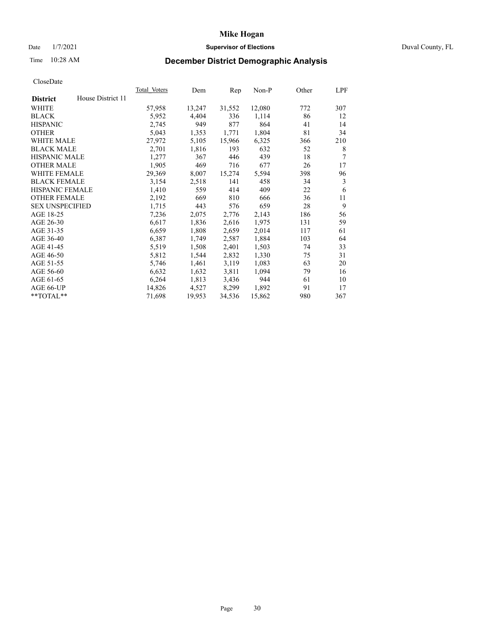# Date 1/7/2021 **Supervisor of Elections** Duval County, FL

# Time 10:28 AM **December District Demographic Analysis**

|                        |                   | Total Voters | Dem    | Rep    | Non-P  | Other | LPF |
|------------------------|-------------------|--------------|--------|--------|--------|-------|-----|
| <b>District</b>        | House District 11 |              |        |        |        |       |     |
| WHITE                  |                   | 57,958       | 13,247 | 31,552 | 12,080 | 772   | 307 |
| <b>BLACK</b>           |                   | 5,952        | 4,404  | 336    | 1,114  | 86    | 12  |
| <b>HISPANIC</b>        |                   | 2,745        | 949    | 877    | 864    | 41    | 14  |
| <b>OTHER</b>           |                   | 5,043        | 1,353  | 1,771  | 1,804  | 81    | 34  |
| WHITE MALE             |                   | 27,972       | 5,105  | 15,966 | 6,325  | 366   | 210 |
| <b>BLACK MALE</b>      |                   | 2,701        | 1,816  | 193    | 632    | 52    | 8   |
| <b>HISPANIC MALE</b>   |                   | 1,277        | 367    | 446    | 439    | 18    | 7   |
| <b>OTHER MALE</b>      |                   | 1,905        | 469    | 716    | 677    | 26    | 17  |
| WHITE FEMALE           |                   | 29,369       | 8,007  | 15,274 | 5,594  | 398   | 96  |
| <b>BLACK FEMALE</b>    |                   | 3,154        | 2,518  | 141    | 458    | 34    | 3   |
| <b>HISPANIC FEMALE</b> |                   | 1,410        | 559    | 414    | 409    | 22    | 6   |
| <b>OTHER FEMALE</b>    |                   | 2,192        | 669    | 810    | 666    | 36    | 11  |
| <b>SEX UNSPECIFIED</b> |                   | 1,715        | 443    | 576    | 659    | 28    | 9   |
| AGE 18-25              |                   | 7,236        | 2,075  | 2,776  | 2,143  | 186   | 56  |
| AGE 26-30              |                   | 6,617        | 1,836  | 2,616  | 1,975  | 131   | 59  |
| AGE 31-35              |                   | 6,659        | 1,808  | 2,659  | 2,014  | 117   | 61  |
| AGE 36-40              |                   | 6,387        | 1,749  | 2,587  | 1,884  | 103   | 64  |
| AGE 41-45              |                   | 5,519        | 1,508  | 2,401  | 1,503  | 74    | 33  |
| AGE 46-50              |                   | 5,812        | 1,544  | 2,832  | 1,330  | 75    | 31  |
| AGE 51-55              |                   | 5,746        | 1,461  | 3,119  | 1,083  | 63    | 20  |
| AGE 56-60              |                   | 6,632        | 1,632  | 3,811  | 1,094  | 79    | 16  |
| AGE 61-65              |                   | 6,264        | 1,813  | 3,436  | 944    | 61    | 10  |
| AGE 66-UP              |                   | 14,826       | 4,527  | 8,299  | 1,892  | 91    | 17  |
| $**TOTAL**$            |                   | 71,698       | 19,953 | 34,536 | 15,862 | 980   | 367 |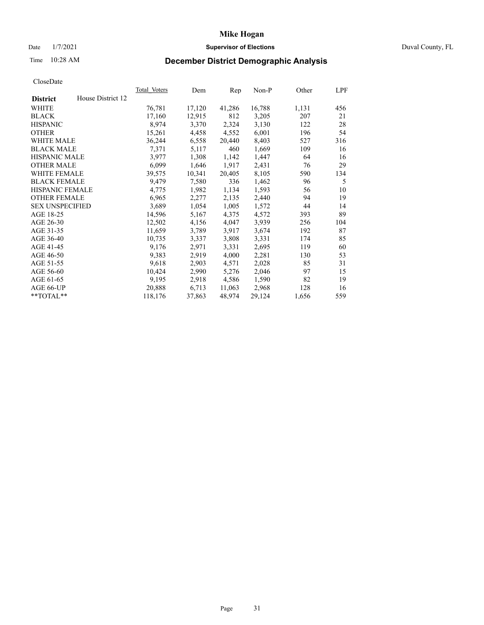## Date  $1/7/2021$  Duval County, FL

# Time 10:28 AM **December District Demographic Analysis**

|                                      | Total Voters | Dem    | Rep    | Non-P  | Other | LPF |
|--------------------------------------|--------------|--------|--------|--------|-------|-----|
| House District 12<br><b>District</b> |              |        |        |        |       |     |
| WHITE                                | 76,781       | 17,120 | 41,286 | 16,788 | 1,131 | 456 |
| <b>BLACK</b>                         | 17,160       | 12,915 | 812    | 3,205  | 207   | 21  |
| <b>HISPANIC</b>                      | 8,974        | 3,370  | 2,324  | 3,130  | 122   | 28  |
| <b>OTHER</b>                         | 15,261       | 4,458  | 4,552  | 6,001  | 196   | 54  |
| <b>WHITE MALE</b>                    | 36,244       | 6,558  | 20,440 | 8,403  | 527   | 316 |
| <b>BLACK MALE</b>                    | 7,371        | 5,117  | 460    | 1,669  | 109   | 16  |
| <b>HISPANIC MALE</b>                 | 3,977        | 1,308  | 1,142  | 1,447  | 64    | 16  |
| <b>OTHER MALE</b>                    | 6,099        | 1,646  | 1,917  | 2,431  | 76    | 29  |
| WHITE FEMALE                         | 39,575       | 10,341 | 20,405 | 8,105  | 590   | 134 |
| <b>BLACK FEMALE</b>                  | 9,479        | 7,580  | 336    | 1,462  | 96    | 5   |
| HISPANIC FEMALE                      | 4,775        | 1,982  | 1,134  | 1,593  | 56    | 10  |
| <b>OTHER FEMALE</b>                  | 6,965        | 2,277  | 2,135  | 2,440  | 94    | 19  |
| <b>SEX UNSPECIFIED</b>               | 3,689        | 1,054  | 1,005  | 1,572  | 44    | 14  |
| AGE 18-25                            | 14,596       | 5,167  | 4,375  | 4,572  | 393   | 89  |
| AGE 26-30                            | 12,502       | 4,156  | 4,047  | 3,939  | 256   | 104 |
| AGE 31-35                            | 11,659       | 3,789  | 3,917  | 3,674  | 192   | 87  |
| AGE 36-40                            | 10,735       | 3,337  | 3,808  | 3,331  | 174   | 85  |
| AGE 41-45                            | 9,176        | 2,971  | 3,331  | 2,695  | 119   | 60  |
| AGE 46-50                            | 9,383        | 2,919  | 4,000  | 2,281  | 130   | 53  |
| AGE 51-55                            | 9,618        | 2,903  | 4,571  | 2,028  | 85    | 31  |
| AGE 56-60                            | 10,424       | 2,990  | 5,276  | 2,046  | 97    | 15  |
| AGE 61-65                            | 9,195        | 2,918  | 4,586  | 1,590  | 82    | 19  |
| AGE 66-UP                            | 20,888       | 6,713  | 11,063 | 2,968  | 128   | 16  |
| **TOTAL**                            | 118,176      | 37,863 | 48,974 | 29,124 | 1,656 | 559 |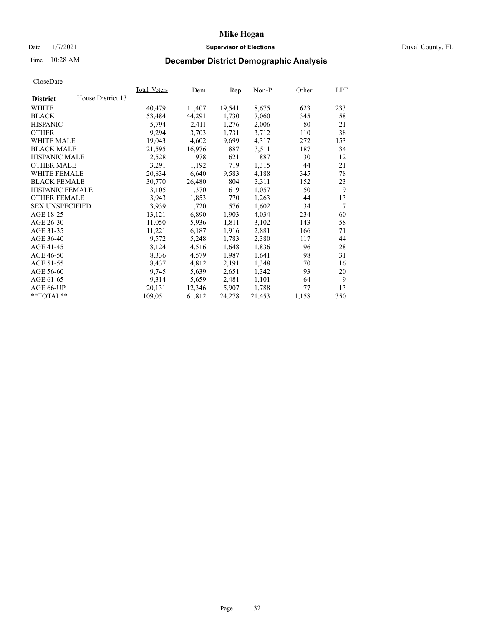## Date  $1/7/2021$  Duval County, FL

# Time 10:28 AM **December District Demographic Analysis**

| Total Voters | Dem               | Rep    | Non-P  | Other | LPF    |
|--------------|-------------------|--------|--------|-------|--------|
|              |                   |        |        |       |        |
| 40,479       | 11,407            | 19,541 | 8,675  | 623   | 233    |
| 53,484       | 44,291            | 1,730  | 7,060  | 345   | 58     |
| 5,794        | 2,411             | 1,276  | 2,006  | 80    | 21     |
| 9,294        | 3,703             | 1,731  | 3,712  | 110   | 38     |
| 19,043       | 4,602             | 9,699  | 4,317  | 272   | 153    |
| 21,595       | 16,976            | 887    | 3,511  | 187   | 34     |
| 2,528        | 978               | 621    | 887    | 30    | 12     |
| 3,291        | 1,192             | 719    | 1,315  | 44    | 21     |
| 20,834       | 6,640             | 9,583  | 4,188  | 345   | 78     |
| 30,770       | 26,480            | 804    | 3,311  | 152   | 23     |
| 3,105        | 1,370             | 619    | 1,057  | 50    | 9      |
| 3,943        | 1,853             | 770    | 1,263  | 44    | 13     |
| 3,939        | 1,720             | 576    | 1,602  | 34    | $\tau$ |
| 13,121       | 6,890             | 1,903  | 4,034  | 234   | 60     |
| 11,050       | 5,936             | 1,811  | 3,102  | 143   | 58     |
| 11,221       | 6,187             | 1,916  | 2,881  | 166   | 71     |
| 9,572        | 5,248             | 1,783  | 2,380  | 117   | 44     |
| 8,124        | 4,516             | 1,648  | 1,836  | 96    | 28     |
| 8,336        | 4,579             | 1,987  | 1,641  | 98    | 31     |
| 8,437        | 4,812             | 2,191  | 1,348  | 70    | 16     |
| 9,745        | 5,639             | 2,651  | 1,342  | 93    | 20     |
| 9,314        | 5,659             | 2,481  | 1,101  | 64    | 9      |
| 20,131       | 12,346            | 5,907  | 1,788  | 77    | 13     |
| 109,051      | 61,812            | 24,278 | 21,453 | 1,158 | 350    |
|              | House District 13 |        |        |       |        |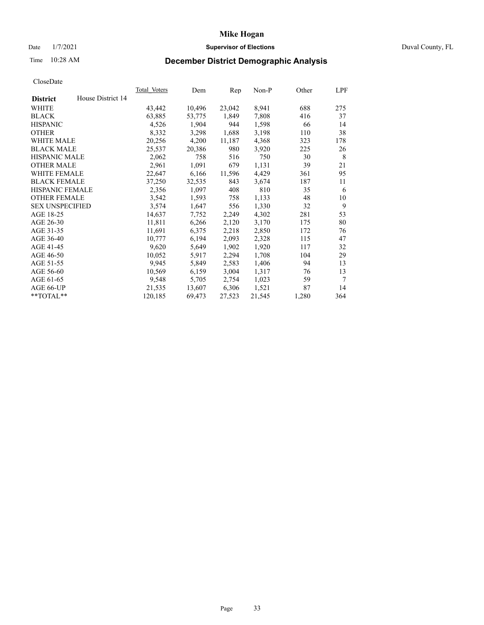## Date  $1/7/2021$  Duval County, FL

# Time 10:28 AM **December District Demographic Analysis**

|                        |                   | Total Voters | Dem    | Rep    | Non-P  | Other | LPF |
|------------------------|-------------------|--------------|--------|--------|--------|-------|-----|
| <b>District</b>        | House District 14 |              |        |        |        |       |     |
| WHITE                  |                   | 43,442       | 10,496 | 23,042 | 8,941  | 688   | 275 |
| <b>BLACK</b>           |                   | 63,885       | 53,775 | 1,849  | 7,808  | 416   | 37  |
| <b>HISPANIC</b>        |                   | 4,526        | 1,904  | 944    | 1,598  | 66    | 14  |
| <b>OTHER</b>           |                   | 8,332        | 3,298  | 1,688  | 3,198  | 110   | 38  |
| WHITE MALE             |                   | 20,256       | 4,200  | 11,187 | 4,368  | 323   | 178 |
| <b>BLACK MALE</b>      |                   | 25,537       | 20,386 | 980    | 3,920  | 225   | 26  |
| <b>HISPANIC MALE</b>   |                   | 2,062        | 758    | 516    | 750    | 30    | 8   |
| <b>OTHER MALE</b>      |                   | 2,961        | 1,091  | 679    | 1,131  | 39    | 21  |
| <b>WHITE FEMALE</b>    |                   | 22,647       | 6,166  | 11,596 | 4,429  | 361   | 95  |
| <b>BLACK FEMALE</b>    |                   | 37,250       | 32,535 | 843    | 3,674  | 187   | 11  |
| <b>HISPANIC FEMALE</b> |                   | 2,356        | 1,097  | 408    | 810    | 35    | 6   |
| <b>OTHER FEMALE</b>    |                   | 3,542        | 1,593  | 758    | 1,133  | 48    | 10  |
| <b>SEX UNSPECIFIED</b> |                   | 3,574        | 1,647  | 556    | 1,330  | 32    | 9   |
| AGE 18-25              |                   | 14,637       | 7,752  | 2,249  | 4,302  | 281   | 53  |
| AGE 26-30              |                   | 11,811       | 6,266  | 2,120  | 3,170  | 175   | 80  |
| AGE 31-35              |                   | 11,691       | 6,375  | 2,218  | 2,850  | 172   | 76  |
| AGE 36-40              |                   | 10,777       | 6,194  | 2,093  | 2,328  | 115   | 47  |
| AGE 41-45              |                   | 9,620        | 5,649  | 1,902  | 1,920  | 117   | 32  |
| AGE 46-50              |                   | 10,052       | 5,917  | 2,294  | 1,708  | 104   | 29  |
| AGE 51-55              |                   | 9,945        | 5,849  | 2,583  | 1,406  | 94    | 13  |
| AGE 56-60              |                   | 10,569       | 6,159  | 3,004  | 1,317  | 76    | 13  |
| AGE 61-65              |                   | 9,548        | 5,705  | 2,754  | 1,023  | 59    | 7   |
| AGE 66-UP              |                   | 21,535       | 13,607 | 6,306  | 1,521  | 87    | 14  |
| $*$ $TOTAL**$          |                   | 120,185      | 69,473 | 27,523 | 21,545 | 1,280 | 364 |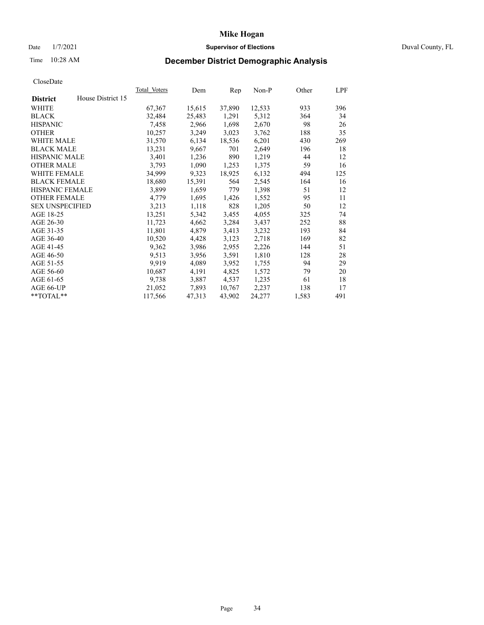## Date  $1/7/2021$  Duval County, FL

# Time 10:28 AM **December District Demographic Analysis**

| Total Voters | Dem    | Rep    | $Non-P$ | Other | LPF |
|--------------|--------|--------|---------|-------|-----|
|              |        |        |         |       |     |
| 67,367       | 15,615 | 37,890 | 12,533  | 933   | 396 |
| 32,484       | 25,483 | 1,291  | 5,312   | 364   | 34  |
| 7,458        | 2,966  | 1,698  | 2,670   | 98    | 26  |
| 10,257       | 3,249  | 3,023  | 3,762   | 188   | 35  |
| 31,570       | 6,134  | 18,536 | 6,201   | 430   | 269 |
| 13,231       | 9,667  | 701    | 2,649   | 196   | 18  |
| 3,401        | 1,236  | 890    | 1,219   | 44    | 12  |
| 3,793        | 1,090  | 1,253  | 1,375   | 59    | 16  |
| 34,999       | 9,323  | 18,925 | 6,132   | 494   | 125 |
| 18,680       | 15,391 | 564    | 2,545   | 164   | 16  |
|              | 1,659  | 779    | 1,398   | 51    | 12  |
| 4,779        | 1,695  | 1,426  | 1,552   | 95    | 11  |
| 3,213        | 1,118  | 828    | 1,205   | 50    | 12  |
| 13,251       | 5,342  | 3,455  | 4,055   | 325   | 74  |
| 11,723       | 4,662  | 3,284  | 3,437   | 252   | 88  |
| 11,801       | 4,879  | 3,413  | 3,232   | 193   | 84  |
| 10,520       | 4,428  | 3,123  | 2,718   | 169   | 82  |
| 9,362        | 3,986  | 2,955  | 2,226   | 144   | 51  |
| 9,513        | 3,956  | 3,591  | 1,810   | 128   | 28  |
| 9,919        | 4,089  | 3,952  | 1,755   | 94    | 29  |
| 10,687       | 4,191  | 4,825  | 1,572   | 79    | 20  |
| 9,738        | 3,887  | 4,537  | 1,235   | 61    | 18  |
| 21,052       | 7,893  | 10,767 | 2,237   | 138   | 17  |
| 117,566      | 47,313 | 43,902 | 24,277  | 1,583 | 491 |
|              | 3,899  |        |         |       |     |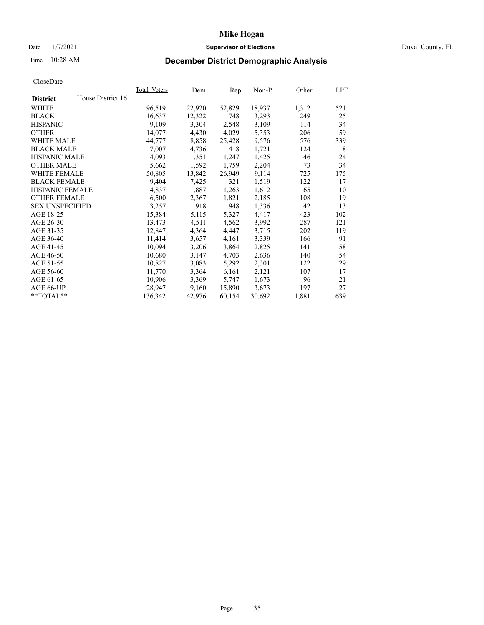# Date 1/7/2021 **Supervisor of Elections** Duval County, FL

# Time 10:28 AM **December District Demographic Analysis**

|                        |                   | Total Voters | Dem    | Rep    | Non-P  | Other | LPF |
|------------------------|-------------------|--------------|--------|--------|--------|-------|-----|
| <b>District</b>        | House District 16 |              |        |        |        |       |     |
| WHITE                  |                   | 96,519       | 22,920 | 52,829 | 18,937 | 1,312 | 521 |
| <b>BLACK</b>           |                   | 16,637       | 12,322 | 748    | 3,293  | 249   | 25  |
| <b>HISPANIC</b>        |                   | 9,109        | 3,304  | 2,548  | 3,109  | 114   | 34  |
| <b>OTHER</b>           |                   | 14,077       | 4,430  | 4,029  | 5,353  | 206   | 59  |
| WHITE MALE             |                   | 44,777       | 8,858  | 25,428 | 9,576  | 576   | 339 |
| <b>BLACK MALE</b>      |                   | 7,007        | 4,736  | 418    | 1,721  | 124   | 8   |
| <b>HISPANIC MALE</b>   |                   | 4,093        | 1,351  | 1,247  | 1,425  | 46    | 24  |
| <b>OTHER MALE</b>      |                   | 5,662        | 1,592  | 1,759  | 2,204  | 73    | 34  |
| <b>WHITE FEMALE</b>    |                   | 50,805       | 13,842 | 26,949 | 9,114  | 725   | 175 |
| <b>BLACK FEMALE</b>    |                   | 9,404        | 7,425  | 321    | 1,519  | 122   | 17  |
| <b>HISPANIC FEMALE</b> |                   | 4,837        | 1,887  | 1,263  | 1,612  | 65    | 10  |
| <b>OTHER FEMALE</b>    |                   | 6,500        | 2,367  | 1,821  | 2,185  | 108   | 19  |
| <b>SEX UNSPECIFIED</b> |                   | 3,257        | 918    | 948    | 1,336  | 42    | 13  |
| AGE 18-25              |                   | 15,384       | 5,115  | 5,327  | 4,417  | 423   | 102 |
| AGE 26-30              |                   | 13,473       | 4,511  | 4,562  | 3,992  | 287   | 121 |
| AGE 31-35              |                   | 12,847       | 4,364  | 4,447  | 3,715  | 202   | 119 |
| AGE 36-40              |                   | 11,414       | 3,657  | 4,161  | 3,339  | 166   | 91  |
| AGE 41-45              |                   | 10,094       | 3,206  | 3,864  | 2,825  | 141   | 58  |
| AGE 46-50              |                   | 10,680       | 3,147  | 4,703  | 2,636  | 140   | 54  |
| AGE 51-55              |                   | 10,827       | 3,083  | 5,292  | 2,301  | 122   | 29  |
| AGE 56-60              |                   | 11,770       | 3,364  | 6,161  | 2,121  | 107   | 17  |
| AGE 61-65              |                   | 10,906       | 3,369  | 5,747  | 1,673  | 96    | 21  |
| AGE 66-UP              |                   | 28,947       | 9,160  | 15,890 | 3,673  | 197   | 27  |
| $*$ TOTAL $*$          |                   | 136,342      | 42,976 | 60,154 | 30,692 | 1,881 | 639 |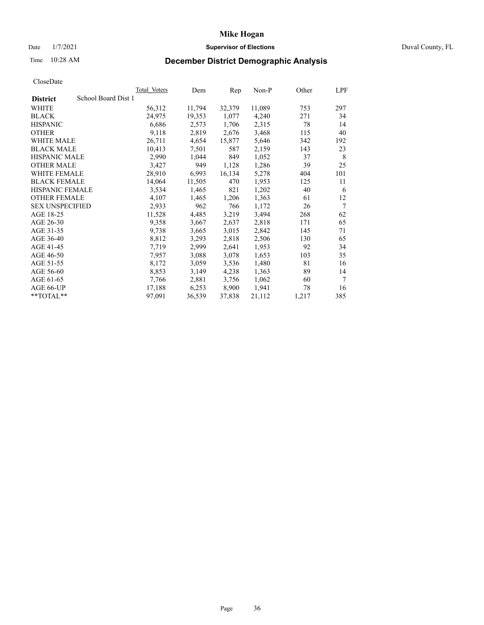## Date  $1/7/2021$  Duval County, FL

# Time 10:28 AM **December District Demographic Analysis**

|                        |                     | <b>Total Voters</b> | Dem    | Rep    | $Non-P$ | Other | LPF    |
|------------------------|---------------------|---------------------|--------|--------|---------|-------|--------|
| <b>District</b>        | School Board Dist 1 |                     |        |        |         |       |        |
| WHITE                  |                     | 56,312              | 11,794 | 32,379 | 11,089  | 753   | 297    |
| <b>BLACK</b>           |                     | 24,975              | 19,353 | 1,077  | 4,240   | 271   | 34     |
| <b>HISPANIC</b>        |                     | 6,686               | 2,573  | 1,706  | 2,315   | 78    | 14     |
| <b>OTHER</b>           |                     | 9,118               | 2,819  | 2,676  | 3,468   | 115   | 40     |
| WHITE MALE             |                     | 26,711              | 4,654  | 15,877 | 5,646   | 342   | 192    |
| <b>BLACK MALE</b>      |                     | 10,413              | 7,501  | 587    | 2,159   | 143   | 23     |
| <b>HISPANIC MALE</b>   |                     | 2,990               | 1,044  | 849    | 1,052   | 37    | 8      |
| <b>OTHER MALE</b>      |                     | 3,427               | 949    | 1,128  | 1,286   | 39    | 25     |
| WHITE FEMALE           |                     | 28,910              | 6,993  | 16,134 | 5,278   | 404   | 101    |
| <b>BLACK FEMALE</b>    |                     | 14,064              | 11,505 | 470    | 1,953   | 125   | 11     |
| HISPANIC FEMALE        |                     | 3,534               | 1,465  | 821    | 1,202   | 40    | 6      |
| <b>OTHER FEMALE</b>    |                     | 4,107               | 1,465  | 1,206  | 1,363   | 61    | 12     |
| <b>SEX UNSPECIFIED</b> |                     | 2,933               | 962    | 766    | 1,172   | 26    | 7      |
| AGE 18-25              |                     | 11,528              | 4,485  | 3,219  | 3,494   | 268   | 62     |
| AGE 26-30              |                     | 9,358               | 3,667  | 2,637  | 2,818   | 171   | 65     |
| AGE 31-35              |                     | 9,738               | 3,665  | 3,015  | 2,842   | 145   | 71     |
| AGE 36-40              |                     | 8,812               | 3,293  | 2,818  | 2,506   | 130   | 65     |
| AGE 41-45              |                     | 7,719               | 2,999  | 2,641  | 1,953   | 92    | 34     |
| AGE 46-50              |                     | 7,957               | 3,088  | 3,078  | 1,653   | 103   | 35     |
| AGE 51-55              |                     | 8,172               | 3,059  | 3,536  | 1,480   | 81    | 16     |
| AGE 56-60              |                     | 8,853               | 3,149  | 4,238  | 1,363   | 89    | 14     |
| AGE 61-65              |                     | 7,766               | 2,881  | 3,756  | 1,062   | 60    | $\tau$ |
| AGE 66-UP              |                     | 17,188              | 6,253  | 8,900  | 1,941   | 78    | 16     |
| **TOTAL**              |                     | 97,091              | 36,539 | 37,838 | 21,112  | 1,217 | 385    |
|                        |                     |                     |        |        |         |       |        |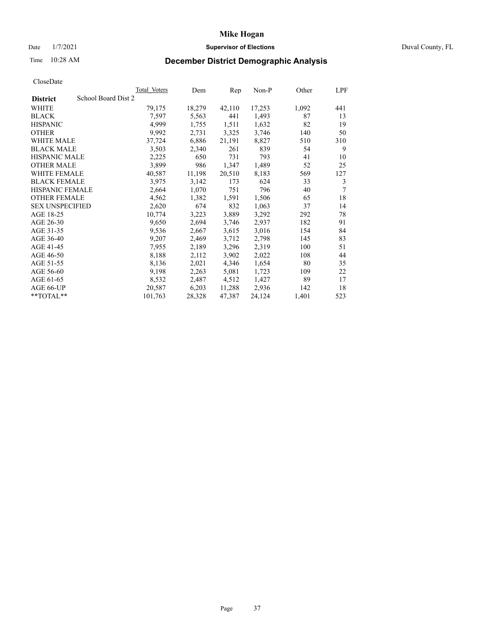## Date  $1/7/2021$  Duval County, FL

# Time 10:28 AM **December District Demographic Analysis**

|                                        | <b>Total Voters</b> | Dem    | Rep    | $Non-P$ | Other | LPF |
|----------------------------------------|---------------------|--------|--------|---------|-------|-----|
| School Board Dist 2<br><b>District</b> |                     |        |        |         |       |     |
| WHITE                                  | 79,175              | 18,279 | 42,110 | 17,253  | 1,092 | 441 |
| <b>BLACK</b>                           | 7,597               | 5,563  | 441    | 1,493   | 87    | 13  |
| <b>HISPANIC</b>                        | 4,999               | 1,755  | 1,511  | 1,632   | 82    | 19  |
| <b>OTHER</b>                           | 9,992               | 2,731  | 3,325  | 3,746   | 140   | 50  |
| WHITE MALE                             | 37,724              | 6,886  | 21,191 | 8,827   | 510   | 310 |
| <b>BLACK MALE</b>                      | 3,503               | 2,340  | 261    | 839     | 54    | 9   |
| <b>HISPANIC MALE</b>                   | 2,225               | 650    | 731    | 793     | 41    | 10  |
| <b>OTHER MALE</b>                      | 3,899               | 986    | 1,347  | 1,489   | 52    | 25  |
| WHITE FEMALE                           | 40,587              | 11,198 | 20,510 | 8,183   | 569   | 127 |
| <b>BLACK FEMALE</b>                    | 3,975               | 3,142  | 173    | 624     | 33    | 3   |
| HISPANIC FEMALE                        | 2,664               | 1,070  | 751    | 796     | 40    | 7   |
| <b>OTHER FEMALE</b>                    | 4,562               | 1,382  | 1,591  | 1,506   | 65    | 18  |
| <b>SEX UNSPECIFIED</b>                 | 2,620               | 674    | 832    | 1,063   | 37    | 14  |
| AGE 18-25                              | 10,774              | 3,223  | 3,889  | 3,292   | 292   | 78  |
| AGE 26-30                              | 9,650               | 2,694  | 3,746  | 2,937   | 182   | 91  |
| AGE 31-35                              | 9,536               | 2,667  | 3,615  | 3,016   | 154   | 84  |
| AGE 36-40                              | 9,207               | 2,469  | 3,712  | 2,798   | 145   | 83  |
| AGE 41-45                              | 7,955               | 2,189  | 3,296  | 2,319   | 100   | 51  |
| AGE 46-50                              | 8,188               | 2,112  | 3,902  | 2,022   | 108   | 44  |
| AGE 51-55                              | 8,136               | 2,021  | 4,346  | 1,654   | 80    | 35  |
| AGE 56-60                              | 9,198               | 2,263  | 5,081  | 1,723   | 109   | 22  |
| AGE 61-65                              | 8,532               | 2,487  | 4,512  | 1,427   | 89    | 17  |
| AGE 66-UP                              | 20,587              | 6,203  | 11,288 | 2,936   | 142   | 18  |
| **TOTAL**                              | 101,763             | 28,328 | 47,387 | 24,124  | 1,401 | 523 |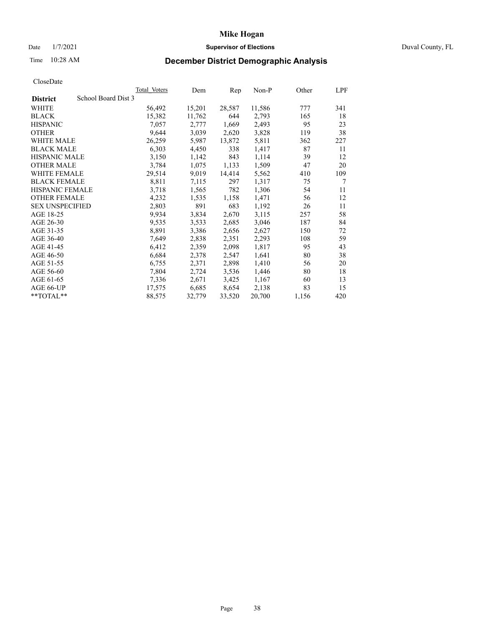# Date 1/7/2021 **Supervisor of Elections** Duval County, FL

# Time 10:28 AM **December District Demographic Analysis**

|                                        | Total Voters | Dem    | Rep    | Non-P  | Other | LPF |
|----------------------------------------|--------------|--------|--------|--------|-------|-----|
| School Board Dist 3<br><b>District</b> |              |        |        |        |       |     |
| WHITE                                  | 56,492       | 15,201 | 28,587 | 11,586 | 777   | 341 |
| <b>BLACK</b>                           | 15,382       | 11,762 | 644    | 2,793  | 165   | 18  |
| <b>HISPANIC</b>                        | 7,057        | 2,777  | 1,669  | 2,493  | 95    | 23  |
| <b>OTHER</b>                           | 9,644        | 3,039  | 2,620  | 3,828  | 119   | 38  |
| WHITE MALE                             | 26,259       | 5,987  | 13,872 | 5,811  | 362   | 227 |
| <b>BLACK MALE</b>                      | 6,303        | 4,450  | 338    | 1,417  | 87    | 11  |
| <b>HISPANIC MALE</b>                   | 3,150        | 1,142  | 843    | 1,114  | 39    | 12  |
| <b>OTHER MALE</b>                      | 3,784        | 1,075  | 1,133  | 1,509  | 47    | 20  |
| <b>WHITE FEMALE</b>                    | 29,514       | 9,019  | 14,414 | 5,562  | 410   | 109 |
| <b>BLACK FEMALE</b>                    | 8,811        | 7,115  | 297    | 1,317  | 75    | 7   |
| <b>HISPANIC FEMALE</b>                 | 3,718        | 1,565  | 782    | 1,306  | 54    | 11  |
| <b>OTHER FEMALE</b>                    | 4,232        | 1,535  | 1,158  | 1,471  | 56    | 12  |
| <b>SEX UNSPECIFIED</b>                 | 2,803        | 891    | 683    | 1,192  | 26    | 11  |
| AGE 18-25                              | 9,934        | 3,834  | 2,670  | 3,115  | 257   | 58  |
| AGE 26-30                              | 9,535        | 3,533  | 2,685  | 3,046  | 187   | 84  |
| AGE 31-35                              | 8,891        | 3,386  | 2,656  | 2,627  | 150   | 72  |
| AGE 36-40                              | 7,649        | 2,838  | 2,351  | 2,293  | 108   | 59  |
| AGE 41-45                              | 6,412        | 2,359  | 2,098  | 1,817  | 95    | 43  |
| AGE 46-50                              | 6,684        | 2,378  | 2,547  | 1,641  | 80    | 38  |
| AGE 51-55                              | 6,755        | 2,371  | 2,898  | 1,410  | 56    | 20  |
| AGE 56-60                              | 7,804        | 2,724  | 3,536  | 1,446  | 80    | 18  |
| AGE 61-65                              | 7,336        | 2,671  | 3,425  | 1,167  | 60    | 13  |
| AGE 66-UP                              | 17,575       | 6,685  | 8,654  | 2,138  | 83    | 15  |
| $*$ $TOTAL**$                          | 88,575       | 32,779 | 33,520 | 20,700 | 1,156 | 420 |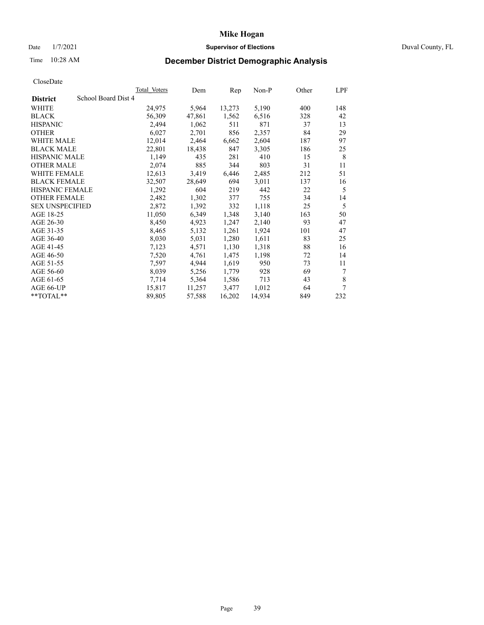## Date  $1/7/2021$  Duval County, FL

# Time 10:28 AM **December District Demographic Analysis**

| Total Voters        | Dem    | Rep    | $Non-P$ | Other | LPF |
|---------------------|--------|--------|---------|-------|-----|
| School Board Dist 4 |        |        |         |       |     |
| 24,975              | 5,964  | 13,273 | 5,190   | 400   | 148 |
| 56,309              | 47,861 | 1,562  | 6,516   | 328   | 42  |
| 2,494               | 1,062  | 511    | 871     | 37    | 13  |
| 6,027               | 2,701  | 856    | 2,357   | 84    | 29  |
| 12,014              | 2,464  | 6,662  | 2,604   | 187   | 97  |
| 22,801              | 18,438 | 847    | 3,305   | 186   | 25  |
| 1,149               | 435    | 281    | 410     | 15    | 8   |
| 2,074               | 885    | 344    | 803     | 31    | 11  |
| 12,613              | 3,419  | 6,446  | 2,485   | 212   | 51  |
| 32,507              | 28,649 | 694    | 3,011   | 137   | 16  |
| 1,292               | 604    | 219    | 442     | 22    | 5   |
| 2,482               | 1,302  | 377    | 755     | 34    | 14  |
| 2,872               | 1,392  | 332    | 1,118   | 25    | 5   |
| 11,050              | 6,349  | 1,348  | 3,140   | 163   | 50  |
| 8,450               | 4,923  | 1,247  | 2,140   | 93    | 47  |
| 8,465               | 5,132  | 1,261  | 1,924   | 101   | 47  |
| 8,030               | 5,031  | 1,280  | 1,611   | 83    | 25  |
| 7,123               | 4,571  | 1,130  | 1,318   | 88    | 16  |
| 7,520               | 4,761  | 1,475  | 1,198   | 72    | 14  |
| 7,597               | 4,944  | 1,619  | 950     | 73    | 11  |
| 8,039               | 5,256  | 1,779  | 928     | 69    | 7   |
| 7,714               | 5,364  | 1,586  | 713     | 43    | 8   |
| 15,817              | 11,257 | 3,477  | 1,012   | 64    | 7   |
| 89,805              | 57,588 | 16,202 | 14,934  | 849   | 232 |
|                     |        |        |         |       |     |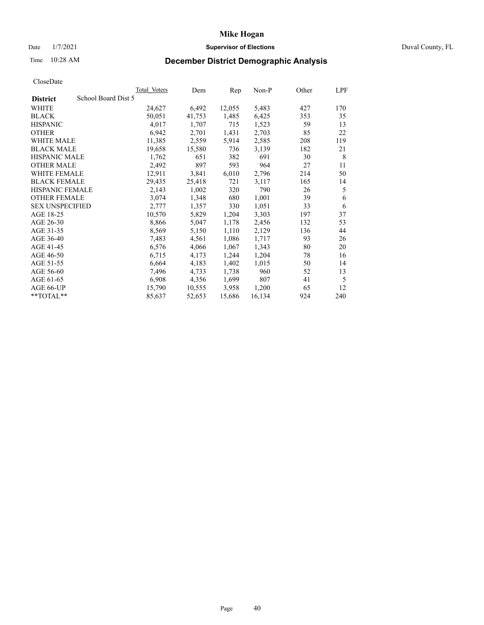## Date  $1/7/2021$  Duval County, FL

# Time 10:28 AM **December District Demographic Analysis**

|                        |                     | Total Voters | Dem    | Rep    | $Non-P$ | Other | LPF |
|------------------------|---------------------|--------------|--------|--------|---------|-------|-----|
| <b>District</b>        | School Board Dist 5 |              |        |        |         |       |     |
| WHITE                  |                     | 24,627       | 6,492  | 12,055 | 5,483   | 427   | 170 |
| <b>BLACK</b>           |                     | 50,051       | 41,753 | 1,485  | 6,425   | 353   | 35  |
| <b>HISPANIC</b>        |                     | 4,017        | 1,707  | 715    | 1,523   | 59    | 13  |
| <b>OTHER</b>           |                     | 6,942        | 2,701  | 1,431  | 2,703   | 85    | 22  |
| WHITE MALE             |                     | 11,385       | 2,559  | 5,914  | 2,585   | 208   | 119 |
| <b>BLACK MALE</b>      |                     | 19,658       | 15,580 | 736    | 3,139   | 182   | 21  |
| <b>HISPANIC MALE</b>   |                     | 1,762        | 651    | 382    | 691     | 30    | 8   |
| <b>OTHER MALE</b>      |                     | 2,492        | 897    | 593    | 964     | 27    | 11  |
| WHITE FEMALE           |                     | 12,911       | 3,841  | 6,010  | 2,796   | 214   | 50  |
| <b>BLACK FEMALE</b>    |                     | 29,435       | 25,418 | 721    | 3,117   | 165   | 14  |
| HISPANIC FEMALE        |                     | 2,143        | 1,002  | 320    | 790     | 26    | 5   |
| <b>OTHER FEMALE</b>    |                     | 3,074        | 1,348  | 680    | 1,001   | 39    | 6   |
| <b>SEX UNSPECIFIED</b> |                     | 2,777        | 1,357  | 330    | 1,051   | 33    | 6   |
| AGE 18-25              |                     | 10,570       | 5,829  | 1,204  | 3,303   | 197   | 37  |
| AGE 26-30              |                     | 8,866        | 5,047  | 1,178  | 2,456   | 132   | 53  |
| AGE 31-35              |                     | 8,569        | 5,150  | 1,110  | 2,129   | 136   | 44  |
| AGE 36-40              |                     | 7,483        | 4,561  | 1,086  | 1,717   | 93    | 26  |
| AGE 41-45              |                     | 6,576        | 4,066  | 1,067  | 1,343   | 80    | 20  |
| AGE 46-50              |                     | 6,715        | 4,173  | 1,244  | 1,204   | 78    | 16  |
| AGE 51-55              |                     | 6,664        | 4,183  | 1,402  | 1,015   | 50    | 14  |
| AGE 56-60              |                     | 7,496        | 4,733  | 1,738  | 960     | 52    | 13  |
| AGE 61-65              |                     | 6,908        | 4,356  | 1,699  | 807     | 41    | 5   |
| AGE 66-UP              |                     | 15,790       | 10,555 | 3,958  | 1,200   | 65    | 12  |
| **TOTAL**              |                     | 85,637       | 52,653 | 15,686 | 16,134  | 924   | 240 |
|                        |                     |              |        |        |         |       |     |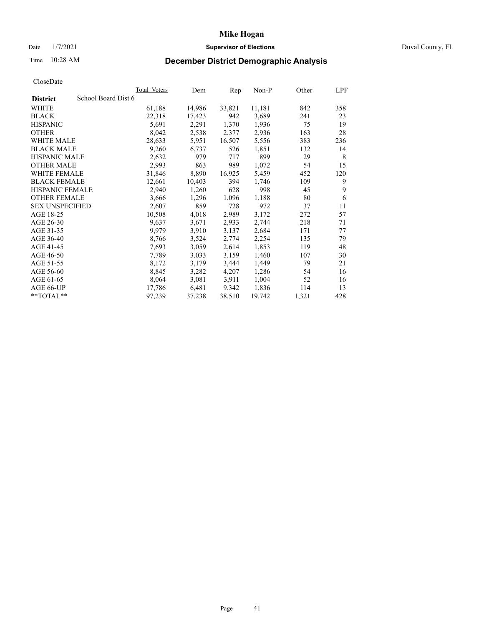# Date 1/7/2021 **Supervisor of Elections** Duval County, FL

# Time 10:28 AM **December District Demographic Analysis**

|                                        | Total Voters | Dem    | Rep    | Non-P  | Other | LPF |
|----------------------------------------|--------------|--------|--------|--------|-------|-----|
| School Board Dist 6<br><b>District</b> |              |        |        |        |       |     |
| WHITE                                  | 61,188       | 14,986 | 33,821 | 11,181 | 842   | 358 |
| <b>BLACK</b>                           | 22,318       | 17,423 | 942    | 3,689  | 241   | 23  |
| <b>HISPANIC</b>                        | 5,691        | 2,291  | 1,370  | 1,936  | 75    | 19  |
| <b>OTHER</b>                           | 8,042        | 2,538  | 2,377  | 2,936  | 163   | 28  |
| WHITE MALE                             | 28,633       | 5,951  | 16,507 | 5,556  | 383   | 236 |
| <b>BLACK MALE</b>                      | 9,260        | 6,737  | 526    | 1,851  | 132   | 14  |
| <b>HISPANIC MALE</b>                   | 2,632        | 979    | 717    | 899    | 29    | 8   |
| <b>OTHER MALE</b>                      | 2,993        | 863    | 989    | 1,072  | 54    | 15  |
| <b>WHITE FEMALE</b>                    | 31,846       | 8,890  | 16,925 | 5,459  | 452   | 120 |
| <b>BLACK FEMALE</b>                    | 12,661       | 10,403 | 394    | 1,746  | 109   | 9   |
| <b>HISPANIC FEMALE</b>                 | 2,940        | 1,260  | 628    | 998    | 45    | 9   |
| <b>OTHER FEMALE</b>                    | 3,666        | 1,296  | 1,096  | 1,188  | 80    | 6   |
| <b>SEX UNSPECIFIED</b>                 | 2,607        | 859    | 728    | 972    | 37    | 11  |
| AGE 18-25                              | 10,508       | 4,018  | 2,989  | 3,172  | 272   | 57  |
| AGE 26-30                              | 9,637        | 3,671  | 2,933  | 2,744  | 218   | 71  |
| AGE 31-35                              | 9,979        | 3,910  | 3,137  | 2,684  | 171   | 77  |
| AGE 36-40                              | 8,766        | 3,524  | 2,774  | 2,254  | 135   | 79  |
| AGE 41-45                              | 7,693        | 3,059  | 2,614  | 1,853  | 119   | 48  |
| AGE 46-50                              | 7,789        | 3,033  | 3,159  | 1,460  | 107   | 30  |
| AGE 51-55                              | 8,172        | 3,179  | 3,444  | 1,449  | 79    | 21  |
| AGE 56-60                              | 8,845        | 3,282  | 4,207  | 1,286  | 54    | 16  |
| AGE 61-65                              | 8,064        | 3,081  | 3,911  | 1,004  | 52    | 16  |
| AGE 66-UP                              | 17,786       | 6,481  | 9,342  | 1,836  | 114   | 13  |
| $*$ $TOTAL**$                          | 97,239       | 37,238 | 38,510 | 19,742 | 1,321 | 428 |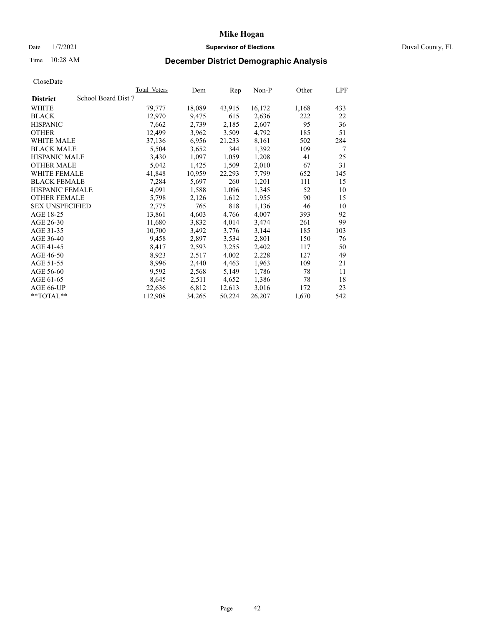## Date  $1/7/2021$  Duval County, FL

# Time 10:28 AM **December District Demographic Analysis**

|                        |                     | Total Voters | Dem    | Rep    | $Non-P$ | Other | <b>LPF</b> |
|------------------------|---------------------|--------------|--------|--------|---------|-------|------------|
| <b>District</b>        | School Board Dist 7 |              |        |        |         |       |            |
| WHITE                  |                     | 79,777       | 18,089 | 43,915 | 16,172  | 1,168 | 433        |
| <b>BLACK</b>           |                     | 12,970       | 9,475  | 615    | 2,636   | 222   | 22         |
| <b>HISPANIC</b>        |                     | 7,662        | 2,739  | 2,185  | 2,607   | 95    | 36         |
| <b>OTHER</b>           |                     | 12,499       | 3,962  | 3,509  | 4,792   | 185   | 51         |
| WHITE MALE             |                     | 37,136       | 6,956  | 21,233 | 8,161   | 502   | 284        |
| <b>BLACK MALE</b>      |                     | 5,504        | 3,652  | 344    | 1,392   | 109   | 7          |
| <b>HISPANIC MALE</b>   |                     | 3,430        | 1,097  | 1,059  | 1,208   | 41    | 25         |
| <b>OTHER MALE</b>      |                     | 5,042        | 1,425  | 1,509  | 2,010   | 67    | 31         |
| WHITE FEMALE           |                     | 41,848       | 10,959 | 22,293 | 7,799   | 652   | 145        |
| <b>BLACK FEMALE</b>    |                     | 7,284        | 5,697  | 260    | 1,201   | 111   | 15         |
| HISPANIC FEMALE        |                     | 4,091        | 1,588  | 1,096  | 1,345   | 52    | 10         |
| <b>OTHER FEMALE</b>    |                     | 5,798        | 2,126  | 1,612  | 1,955   | 90    | 15         |
| <b>SEX UNSPECIFIED</b> |                     | 2,775        | 765    | 818    | 1,136   | 46    | 10         |
| AGE 18-25              |                     | 13,861       | 4,603  | 4,766  | 4,007   | 393   | 92         |
| AGE 26-30              |                     | 11,680       | 3,832  | 4,014  | 3,474   | 261   | 99         |
| AGE 31-35              |                     | 10,700       | 3,492  | 3,776  | 3,144   | 185   | 103        |
| AGE 36-40              |                     | 9,458        | 2,897  | 3,534  | 2,801   | 150   | 76         |
| AGE 41-45              |                     | 8,417        | 2,593  | 3,255  | 2,402   | 117   | 50         |
| AGE 46-50              |                     | 8,923        | 2,517  | 4,002  | 2,228   | 127   | 49         |
| AGE 51-55              |                     | 8,996        | 2,440  | 4,463  | 1,963   | 109   | 21         |
| AGE 56-60              |                     | 9,592        | 2,568  | 5,149  | 1,786   | 78    | 11         |
| AGE 61-65              |                     | 8,645        | 2,511  | 4,652  | 1,386   | 78    | 18         |
| AGE 66-UP              |                     | 22,636       | 6,812  | 12,613 | 3,016   | 172   | 23         |
| **TOTAL**              |                     | 112,908      | 34,265 | 50,224 | 26,207  | 1,670 | 542        |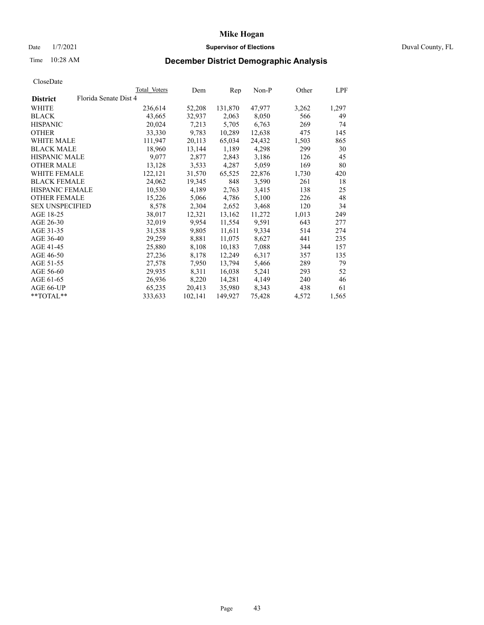## Date  $1/7/2021$  Duval County, FL

# Time 10:28 AM **December District Demographic Analysis**

| Total Voters                    | Dem     | Rep     | $Non-P$ | Other | LPF   |
|---------------------------------|---------|---------|---------|-------|-------|
| Florida Senate Dist 4           |         |         |         |       |       |
| 236,614                         | 52,208  | 131,870 | 47,977  | 3,262 | 1,297 |
| 43,665                          | 32,937  | 2,063   | 8,050   | 566   | 49    |
| 20,024                          | 7,213   | 5,705   | 6,763   | 269   | 74    |
| 33,330                          | 9,783   | 10,289  | 12,638  | 475   | 145   |
| 111,947                         | 20,113  | 65,034  | 24,432  | 1,503 | 865   |
| 18,960                          | 13,144  | 1,189   | 4,298   | 299   | 30    |
| 9,077                           | 2,877   | 2,843   | 3,186   | 126   | 45    |
| 13,128                          | 3,533   | 4,287   | 5,059   | 169   | 80    |
| 122,121                         | 31,570  | 65,525  | 22,876  | 1,730 | 420   |
| 24,062                          | 19,345  | 848     | 3,590   | 261   | 18    |
| HISPANIC FEMALE<br>10,530       | 4,189   | 2,763   | 3,415   | 138   | 25    |
| 15,226                          | 5,066   | 4,786   | 5,100   | 226   | 48    |
| 8,578<br><b>SEX UNSPECIFIED</b> | 2,304   | 2,652   | 3,468   | 120   | 34    |
| 38,017                          | 12,321  | 13,162  | 11,272  | 1,013 | 249   |
| 32,019                          | 9,954   | 11,554  | 9,591   | 643   | 277   |
| 31,538                          | 9,805   | 11,611  | 9,334   | 514   | 274   |
| 29,259                          | 8,881   | 11,075  | 8,627   | 441   | 235   |
| 25,880                          | 8,108   | 10,183  | 7,088   | 344   | 157   |
| 27,236                          | 8,178   | 12,249  | 6,317   | 357   | 135   |
| 27,578                          | 7,950   | 13,794  | 5,466   | 289   | 79    |
| 29,935                          | 8,311   | 16,038  | 5,241   | 293   | 52    |
| 26,936                          | 8,220   | 14,281  | 4,149   | 240   | 46    |
| 65,235                          | 20,413  | 35,980  | 8,343   | 438   | 61    |
| 333,633                         | 102,141 | 149,927 | 75,428  | 4,572 | 1,565 |
|                                 |         |         |         |       |       |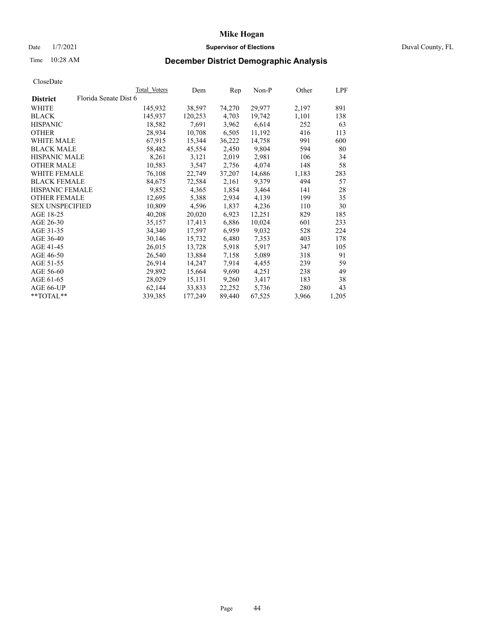# Date 1/7/2021 **Supervisor of Elections** Duval County, FL

# Time 10:28 AM **December District Demographic Analysis**

|                        |                       | Total Voters | Dem     | Rep    | Non-P  | Other | LPF   |
|------------------------|-----------------------|--------------|---------|--------|--------|-------|-------|
| <b>District</b>        | Florida Senate Dist 6 |              |         |        |        |       |       |
| WHITE                  |                       | 145,932      | 38,597  | 74,270 | 29,977 | 2,197 | 891   |
| <b>BLACK</b>           |                       | 145,937      | 120,253 | 4,703  | 19,742 | 1,101 | 138   |
| <b>HISPANIC</b>        |                       | 18,582       | 7,691   | 3,962  | 6,614  | 252   | 63    |
| <b>OTHER</b>           |                       | 28,934       | 10,708  | 6,505  | 11,192 | 416   | 113   |
| WHITE MALE             |                       | 67,915       | 15,344  | 36,222 | 14,758 | 991   | 600   |
| <b>BLACK MALE</b>      |                       | 58,482       | 45,554  | 2,450  | 9,804  | 594   | 80    |
| <b>HISPANIC MALE</b>   |                       | 8,261        | 3,121   | 2,019  | 2,981  | 106   | 34    |
| <b>OTHER MALE</b>      |                       | 10,583       | 3,547   | 2,756  | 4,074  | 148   | 58    |
| <b>WHITE FEMALE</b>    |                       | 76,108       | 22,749  | 37,207 | 14,686 | 1,183 | 283   |
| <b>BLACK FEMALE</b>    |                       | 84,675       | 72,584  | 2,161  | 9,379  | 494   | 57    |
| <b>HISPANIC FEMALE</b> |                       | 9,852        | 4,365   | 1,854  | 3,464  | 141   | 28    |
| <b>OTHER FEMALE</b>    |                       | 12,695       | 5,388   | 2,934  | 4,139  | 199   | 35    |
| <b>SEX UNSPECIFIED</b> |                       | 10,809       | 4,596   | 1,837  | 4,236  | 110   | 30    |
| AGE 18-25              |                       | 40,208       | 20,020  | 6,923  | 12,251 | 829   | 185   |
| AGE 26-30              |                       | 35,157       | 17,413  | 6,886  | 10,024 | 601   | 233   |
| AGE 31-35              |                       | 34,340       | 17,597  | 6,959  | 9,032  | 528   | 224   |
| AGE 36-40              |                       | 30,146       | 15,732  | 6,480  | 7,353  | 403   | 178   |
| AGE 41-45              |                       | 26,015       | 13,728  | 5,918  | 5,917  | 347   | 105   |
| AGE 46-50              |                       | 26,540       | 13,884  | 7,158  | 5,089  | 318   | 91    |
| AGE 51-55              |                       | 26,914       | 14,247  | 7,914  | 4,455  | 239   | 59    |
| AGE 56-60              |                       | 29,892       | 15,664  | 9,690  | 4,251  | 238   | 49    |
| AGE 61-65              |                       | 28,029       | 15,131  | 9,260  | 3,417  | 183   | 38    |
| AGE 66-UP              |                       | 62,144       | 33,833  | 22,252 | 5,736  | 280   | 43    |
| $*$ TOTAL $*$          |                       | 339,385      | 177,249 | 89,440 | 67,525 | 3,966 | 1,205 |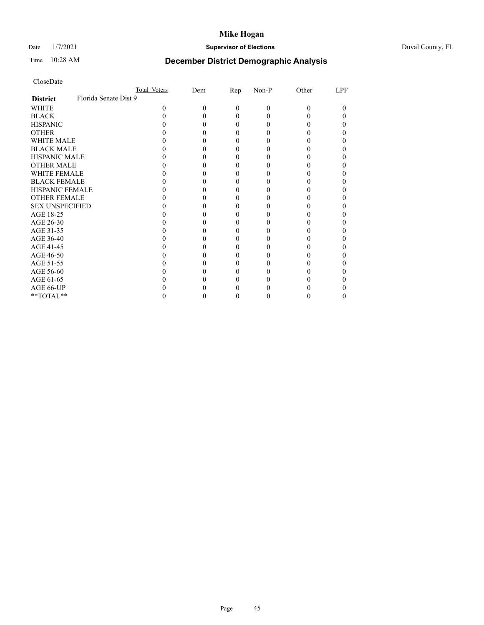# Date 1/7/2021 **Supervisor of Elections** Duval County, FL

# Time 10:28 AM **December District Demographic Analysis**

|                        |                       | Total Voters | Dem | <u>Rep</u> | Non-P | Other | <b>LPF</b> |
|------------------------|-----------------------|--------------|-----|------------|-------|-------|------------|
| <b>District</b>        | Florida Senate Dist 9 |              |     |            |       |       |            |
| WHITE                  |                       |              | 0   | 0          | 0     | 0     | 0          |
| <b>BLACK</b>           |                       |              |     |            |       |       |            |
| <b>HISPANIC</b>        |                       |              |     |            |       |       |            |
| <b>OTHER</b>           |                       |              |     |            |       |       |            |
| <b>WHITE MALE</b>      |                       |              |     |            |       |       |            |
| <b>BLACK MALE</b>      |                       |              |     |            |       |       |            |
| HISPANIC MALE          |                       |              |     |            |       |       |            |
| <b>OTHER MALE</b>      |                       |              |     |            |       |       |            |
| <b>WHITE FEMALE</b>    |                       |              |     |            |       |       |            |
| <b>BLACK FEMALE</b>    |                       |              |     |            |       |       |            |
| <b>HISPANIC FEMALE</b> |                       |              |     |            |       |       |            |
| <b>OTHER FEMALE</b>    |                       |              |     |            |       |       |            |
| <b>SEX UNSPECIFIED</b> |                       |              |     |            |       |       |            |
| AGE 18-25              |                       |              |     |            |       |       |            |
| AGE 26-30              |                       |              |     |            |       |       |            |
| AGE 31-35              |                       |              |     |            |       |       |            |
| AGE 36-40              |                       |              |     |            |       |       |            |
| AGE 41-45              |                       |              |     |            |       |       |            |
| AGE 46-50              |                       |              |     |            |       |       |            |
| AGE 51-55              |                       |              |     |            |       |       |            |
| AGE 56-60              |                       |              |     |            |       |       |            |
| AGE 61-65              |                       |              |     |            |       |       |            |
| AGE 66-UP              |                       |              |     |            |       |       |            |
| **TOTAL**              |                       |              |     |            |       |       |            |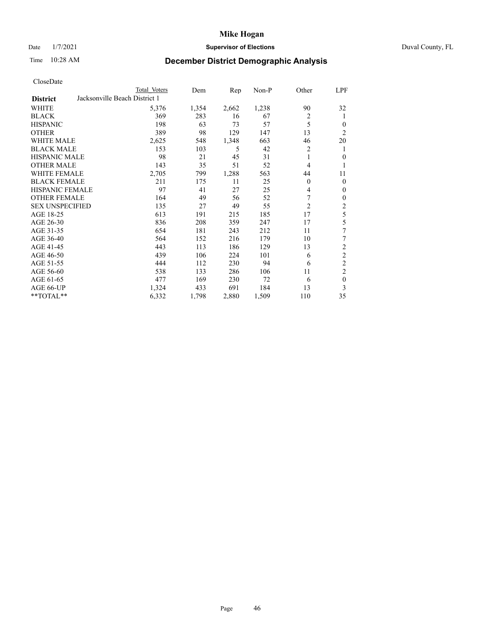# Date 1/7/2021 **Supervisor of Elections** Duval County, FL

# Time 10:28 AM **December District Demographic Analysis**

|                        | Total Voters                  | Dem   | Rep   | Non-P | Other          | LPF              |
|------------------------|-------------------------------|-------|-------|-------|----------------|------------------|
| <b>District</b>        | Jacksonville Beach District 1 |       |       |       |                |                  |
| WHITE                  | 5,376                         | 1,354 | 2,662 | 1,238 | 90             | 32               |
| <b>BLACK</b>           | 369                           | 283   | 16    | 67    | $\overline{2}$ | 1                |
| <b>HISPANIC</b>        | 198                           | 63    | 73    | 57    | 5              | $\theta$         |
| <b>OTHER</b>           | 389                           | 98    | 129   | 147   | 13             | $\overline{2}$   |
| WHITE MALE             | 2,625                         | 548   | 1,348 | 663   | 46             | 20               |
| <b>BLACK MALE</b>      | 153                           | 103   | 5     | 42    | 2              | 1                |
| <b>HISPANIC MALE</b>   | 98                            | 21    | 45    | 31    | 1              | $\mathbf{0}$     |
| <b>OTHER MALE</b>      | 143                           | 35    | 51    | 52    | 4              | 1                |
| WHITE FEMALE           | 2,705                         | 799   | 1,288 | 563   | 44             | 11               |
| <b>BLACK FEMALE</b>    | 211                           | 175   | 11    | 25    | $\overline{0}$ | $\mathbf{0}$     |
| <b>HISPANIC FEMALE</b> | 97                            | 41    | 27    | 25    | 4              | $\mathbf{0}$     |
| <b>OTHER FEMALE</b>    | 164                           | 49    | 56    | 52    | 7              | $\mathbf{0}$     |
| <b>SEX UNSPECIFIED</b> | 135                           | 27    | 49    | 55    | $\overline{2}$ | $\boldsymbol{2}$ |
| AGE 18-25              | 613                           | 191   | 215   | 185   | 17             | 5                |
| AGE 26-30              | 836                           | 208   | 359   | 247   | 17             | 5                |
| AGE 31-35              | 654                           | 181   | 243   | 212   | 11             | 7                |
| AGE 36-40              | 564                           | 152   | 216   | 179   | 10             | 7                |
| AGE 41-45              | 443                           | 113   | 186   | 129   | 13             | $\overline{2}$   |
| AGE 46-50              | 439                           | 106   | 224   | 101   | 6              | $\overline{2}$   |
| AGE 51-55              | 444                           | 112   | 230   | 94    | 6              | $\overline{c}$   |
| AGE 56-60              | 538                           | 133   | 286   | 106   | 11             | $\overline{c}$   |
| AGE 61-65              | 477                           | 169   | 230   | 72    | 6              | $\mathbf{0}$     |
| AGE 66-UP              | 1,324                         | 433   | 691   | 184   | 13             | 3                |
| **TOTAL**              | 6,332                         | 1,798 | 2,880 | 1,509 | 110            | 35               |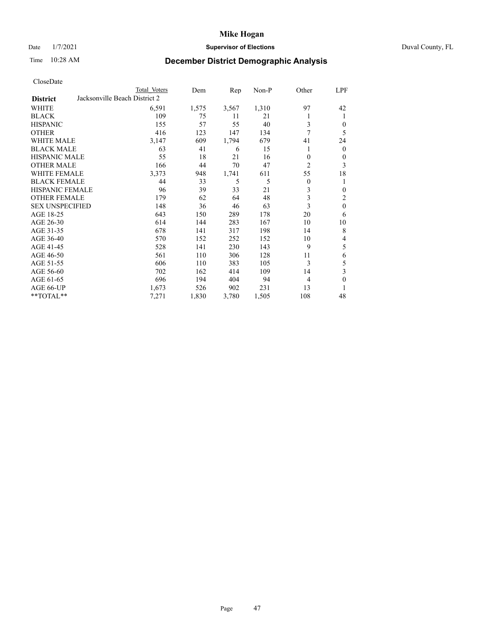# Date 1/7/2021 **Supervisor of Elections** Duval County, FL

# Time 10:28 AM **December District Demographic Analysis**

|                        |                               | Total Voters | Dem   | Rep   | $Non-P$ | Other          | LPF          |
|------------------------|-------------------------------|--------------|-------|-------|---------|----------------|--------------|
| <b>District</b>        | Jacksonville Beach District 2 |              |       |       |         |                |              |
| WHITE                  |                               | 6,591        | 1,575 | 3,567 | 1,310   | 97             | 42           |
| <b>BLACK</b>           |                               | 109          | 75    | 11    | 21      |                | 1            |
| <b>HISPANIC</b>        |                               | 155          | 57    | 55    | 40      | 3              | 0            |
| <b>OTHER</b>           |                               | 416          | 123   | 147   | 134     | 7              | 5            |
| <b>WHITE MALE</b>      |                               | 3,147        | 609   | 1,794 | 679     | 41             | 24           |
| <b>BLACK MALE</b>      |                               | 63           | 41    | 6     | 15      |                | $\mathbf{0}$ |
| <b>HISPANIC MALE</b>   |                               | 55           | 18    | 21    | 16      | $\theta$       | $\mathbf{0}$ |
| <b>OTHER MALE</b>      |                               | 166          | 44    | 70    | 47      | $\overline{c}$ | 3            |
| <b>WHITE FEMALE</b>    |                               | 3,373        | 948   | 1,741 | 611     | 55             | 18           |
| <b>BLACK FEMALE</b>    |                               | 44           | 33    | 5     | 5       | $\theta$       | 1            |
| HISPANIC FEMALE        |                               | 96           | 39    | 33    | 21      | 3              | $\mathbf{0}$ |
| <b>OTHER FEMALE</b>    |                               | 179          | 62    | 64    | 48      | 3              | 2            |
| <b>SEX UNSPECIFIED</b> |                               | 148          | 36    | 46    | 63      | 3              | $\mathbf{0}$ |
| AGE 18-25              |                               | 643          | 150   | 289   | 178     | 20             | 6            |
| AGE 26-30              |                               | 614          | 144   | 283   | 167     | 10             | 10           |
| AGE 31-35              |                               | 678          | 141   | 317   | 198     | 14             | 8            |
| AGE 36-40              |                               | 570          | 152   | 252   | 152     | 10             | 4            |
| AGE 41-45              |                               | 528          | 141   | 230   | 143     | 9              | 5            |
| AGE 46-50              |                               | 561          | 110   | 306   | 128     | 11             | 6            |
| AGE 51-55              |                               | 606          | 110   | 383   | 105     | 3              | 5            |
| AGE 56-60              |                               | 702          | 162   | 414   | 109     | 14             | 3            |
| AGE 61-65              |                               | 696          | 194   | 404   | 94      | 4              | $\theta$     |
| AGE 66-UP              |                               | 1,673        | 526   | 902   | 231     | 13             | 1            |
| **TOTAL**              |                               | 7,271        | 1,830 | 3,780 | 1,505   | 108            | 48           |
|                        |                               |              |       |       |         |                |              |